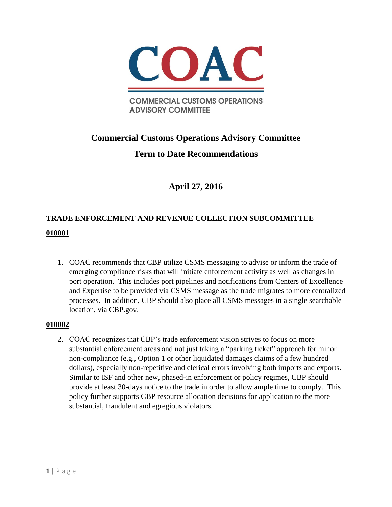

**COMMERCIAL CUSTOMS OPERATIONS ADVISORY COMMITTEE** 

# **Commercial Customs Operations Advisory Committee**

# **Term to Date Recommendations**

# **April 27, 2016**

# **TRADE ENFORCEMENT AND REVENUE COLLECTION SUBCOMMITTEE 010001**

1. COAC recommends that CBP utilize CSMS messaging to advise or inform the trade of emerging compliance risks that will initiate enforcement activity as well as changes in port operation. This includes port pipelines and notifications from Centers of Excellence and Expertise to be provided via CSMS message as the trade migrates to more centralized processes. In addition, CBP should also place all CSMS messages in a single searchable location, via CBP.gov.

### **010002**

2. COAC recognizes that CBP's trade enforcement vision strives to focus on more substantial enforcement areas and not just taking a "parking ticket" approach for minor non-compliance (e.g., Option 1 or other liquidated damages claims of a few hundred dollars), especially non-repetitive and clerical errors involving both imports and exports. Similar to ISF and other new, phased-in enforcement or policy regimes, CBP should provide at least 30-days notice to the trade in order to allow ample time to comply. This policy further supports CBP resource allocation decisions for application to the more substantial, fraudulent and egregious violators.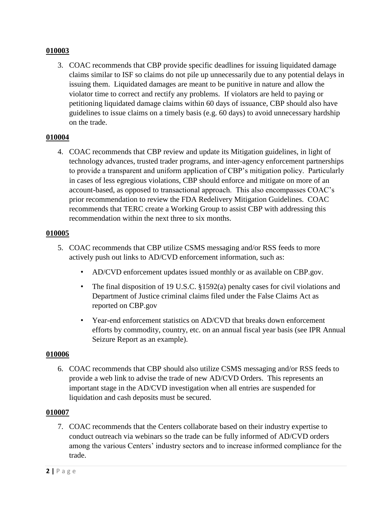3. COAC recommends that CBP provide specific deadlines for issuing liquidated damage claims similar to ISF so claims do not pile up unnecessarily due to any potential delays in issuing them. Liquidated damages are meant to be punitive in nature and allow the violator time to correct and rectify any problems. If violators are held to paying or petitioning liquidated damage claims within 60 days of issuance, CBP should also have guidelines to issue claims on a timely basis (e.g. 60 days) to avoid unnecessary hardship on the trade.

### **010004**

4. COAC recommends that CBP review and update its Mitigation guidelines, in light of technology advances, trusted trader programs, and inter-agency enforcement partnerships to provide a transparent and uniform application of CBP's mitigation policy. Particularly in cases of less egregious violations, CBP should enforce and mitigate on more of an account-based, as opposed to transactional approach. This also encompasses COAC's prior recommendation to review the FDA Redelivery Mitigation Guidelines. COAC recommends that TERC create a Working Group to assist CBP with addressing this recommendation within the next three to six months.

### **010005**

- 5. COAC recommends that CBP utilize CSMS messaging and/or RSS feeds to more actively push out links to AD/CVD enforcement information, such as:
	- AD/CVD enforcement updates issued monthly or as available on CBP.gov.
	- The final disposition of 19 U.S.C. §1592(a) penalty cases for civil violations and Department of Justice criminal claims filed under the False Claims Act as reported on CBP.gov
	- Year-end enforcement statistics on AD/CVD that breaks down enforcement efforts by commodity, country, etc. on an annual fiscal year basis (see IPR Annual Seizure Report as an example).

### **010006**

6. COAC recommends that CBP should also utilize CSMS messaging and/or RSS feeds to provide a web link to advise the trade of new AD/CVD Orders. This represents an important stage in the AD/CVD investigation when all entries are suspended for liquidation and cash deposits must be secured.

### **010007**

7. COAC recommends that the Centers collaborate based on their industry expertise to conduct outreach via webinars so the trade can be fully informed of AD/CVD orders among the various Centers' industry sectors and to increase informed compliance for the trade.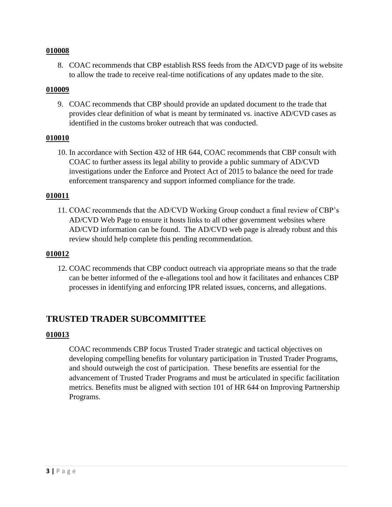8. COAC recommends that CBP establish RSS feeds from the AD/CVD page of its website to allow the trade to receive real-time notifications of any updates made to the site.

### **010009**

9. COAC recommends that CBP should provide an updated document to the trade that provides clear definition of what is meant by terminated vs. inactive AD/CVD cases as identified in the customs broker outreach that was conducted.

### **010010**

10. In accordance with Section 432 of HR 644, COAC recommends that CBP consult with COAC to further assess its legal ability to provide a public summary of AD/CVD investigations under the Enforce and Protect Act of 2015 to balance the need for trade enforcement transparency and support informed compliance for the trade.

### **010011**

11. COAC recommends that the AD/CVD Working Group conduct a final review of CBP's AD/CVD Web Page to ensure it hosts links to all other government websites where AD/CVD information can be found. The AD/CVD web page is already robust and this review should help complete this pending recommendation.

### **010012**

12. COAC recommends that CBP conduct outreach via appropriate means so that the trade can be better informed of the e-allegations tool and how it facilitates and enhances CBP processes in identifying and enforcing IPR related issues, concerns, and allegations.

# **TRUSTED TRADER SUBCOMMITTEE**

### **010013**

COAC recommends CBP focus Trusted Trader strategic and tactical objectives on developing compelling benefits for voluntary participation in Trusted Trader Programs, and should outweigh the cost of participation. These benefits are essential for the advancement of Trusted Trader Programs and must be articulated in specific facilitation metrics. Benefits must be aligned with section 101 of HR 644 on Improving Partnership Programs.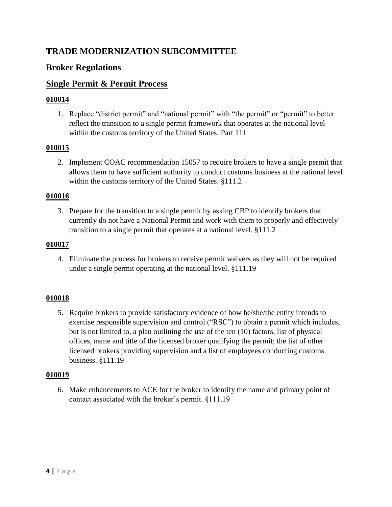# **TRADE MODERNIZATION SUBCOMMITTEE**

# **Broker Regulations**

# **Single Permit & Permit Process**

### **010014**

1. Replace "district permit" and "national permit" with "the permit" or "permit" to better reflect the transition to a single permit framework that operates at the national level within the customs territory of the United States. Part 111

# **010015**

2. Implement COAC recommendation 15057 to require brokers to have a single permit that allows them to have sufficient authority to conduct customs business at the national level within the customs territory of the United States. §111.2

### **010016**

3. Prepare for the transition to a single permit by asking CBP to identify brokers that currently do not have a National Permit and work with them to properly and effectively transition to a single permit that operates at a national level. §111.2

### **010017**

4. Eliminate the process for brokers to receive permit waivers as they will not be required under a single permit operating at the national level. §111.19

### **010018**

5. Require brokers to provide satisfactory evidence of how he/she/the entity intends to exercise responsible supervision and control ("RSC") to obtain a permit which includes, but is not limited to, a plan outlining the use of the ten (10) factors, list of physical offices, name and title of the licensed broker qualifying the permit; the list of other licensed brokers providing supervision and a list of employees conducting customs business. §111.19

### **010019**

6. Make enhancements to ACE for the broker to identify the name and primary point of contact associated with the broker's permit. §111.19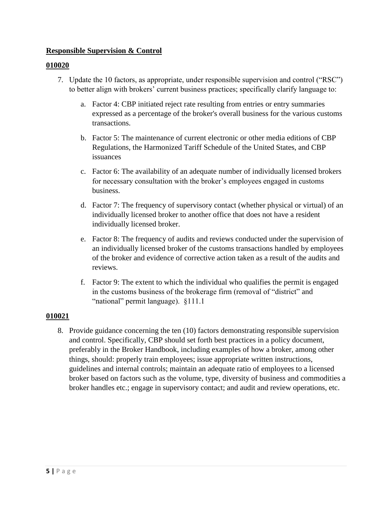### **Responsible Supervision & Control**

#### **010020**

- 7. Update the 10 factors, as appropriate, under responsible supervision and control ("RSC") to better align with brokers' current business practices; specifically clarify language to:
	- a. Factor 4: CBP initiated reject rate resulting from entries or entry summaries expressed as a percentage of the broker's overall business for the various customs transactions.
	- b. Factor 5: The maintenance of current electronic or other media editions of CBP Regulations, the Harmonized Tariff Schedule of the United States, and CBP issuances
	- c. Factor 6: The availability of an adequate number of individually licensed brokers for necessary consultation with the broker's employees engaged in customs business.
	- d. Factor 7: The frequency of supervisory contact (whether physical or virtual) of an individually licensed broker to another office that does not have a resident individually licensed broker.
	- e. Factor 8: The frequency of audits and reviews conducted under the supervision of an individually licensed broker of the customs transactions handled by employees of the broker and evidence of corrective action taken as a result of the audits and reviews.
	- f. Factor 9: The extent to which the individual who qualifies the permit is engaged in the customs business of the brokerage firm (removal of "district" and "national" permit language). §111.1

### **010021**

8. Provide guidance concerning the ten (10) factors demonstrating responsible supervision and control. Specifically, CBP should set forth best practices in a policy document, preferably in the Broker Handbook, including examples of how a broker, among other things, should: properly train employees; issue appropriate written instructions, guidelines and internal controls; maintain an adequate ratio of employees to a licensed broker based on factors such as the volume, type, diversity of business and commodities a broker handles etc.; engage in supervisory contact; and audit and review operations, etc.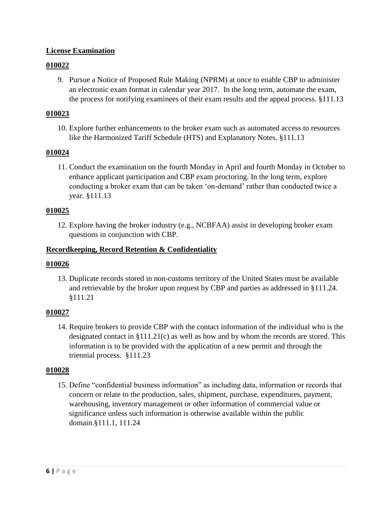### **License Examination**

### **010022**

9. Pursue a Notice of Proposed Rule Making (NPRM) at once to enable CBP to administer an electronic exam format in calendar year 2017. In the long term, automate the exam, the process for notifying examinees of their exam results and the appeal process. §111.13

### **010023**

10. Explore further enhancements to the broker exam such as automated access to resources like the Harmonized Tariff Schedule (HTS) and Explanatory Notes. §111.13

### **010024**

11. Conduct the examination on the fourth Monday in April and fourth Monday in October to enhance applicant participation and CBP exam proctoring. In the long term, explore conducting a broker exam that can be taken 'on-demand' rather than conducted twice a year. §111.13

### **010025**

12. Explore having the broker industry (e.g., NCBFAA) assist in developing broker exam questions in conjunction with CBP.

### **Recordkeeping, Record Retention & Confidentiality**

### **010026**

13. Duplicate records stored in non-customs territory of the United States must be available and retrievable by the broker upon request by CBP and parties as addressed in §111.24. §111.21

### **010027**

14. Require brokers to provide CBP with the contact information of the individual who is the designated contact in §111.21(c) as well as how and by whom the records are stored. This information is to be provided with the application of a new permit and through the triennial process. §111.23

### **010028**

15. Define "confidential business information" as including data, information or records that concern or relate to the production, sales, shipment, purchase, expenditures, payment, warehousing, inventory management or other information of commercial value or significance unless such information is otherwise available within the public domain.§111.1, 111.24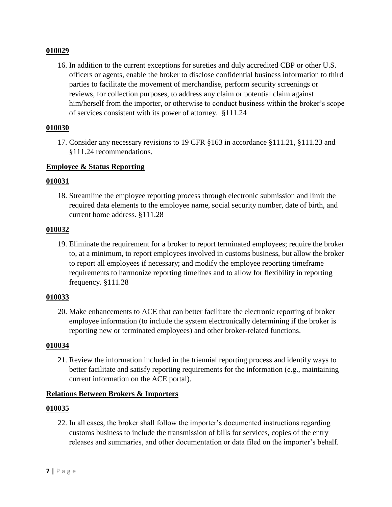16. In addition to the current exceptions for sureties and duly accredited CBP or other U.S. officers or agents, enable the broker to disclose confidential business information to third parties to facilitate the movement of merchandise, perform security screenings or reviews, for collection purposes, to address any claim or potential claim against him/herself from the importer, or otherwise to conduct business within the broker's scope of services consistent with its power of attorney. §111.24

#### **010030**

17. Consider any necessary revisions to 19 CFR §163 in accordance §111.21, §111.23 and §111.24 recommendations.

### **Employee & Status Reporting**

#### **010031**

18. Streamline the employee reporting process through electronic submission and limit the required data elements to the employee name, social security number, date of birth, and current home address. §111.28

#### **010032**

19. Eliminate the requirement for a broker to report terminated employees; require the broker to, at a minimum, to report employees involved in customs business, but allow the broker to report all employees if necessary; and modify the employee reporting timeframe requirements to harmonize reporting timelines and to allow for flexibility in reporting frequency. §111.28

### **010033**

20. Make enhancements to ACE that can better facilitate the electronic reporting of broker employee information (to include the system electronically determining if the broker is reporting new or terminated employees) and other broker-related functions.

#### **010034**

21. Review the information included in the triennial reporting process and identify ways to better facilitate and satisfy reporting requirements for the information (e.g., maintaining current information on the ACE portal).

### **Relations Between Brokers & Importers**

#### **010035**

22. In all cases, the broker shall follow the importer's documented instructions regarding customs business to include the transmission of bills for services, copies of the entry releases and summaries, and other documentation or data filed on the importer's behalf.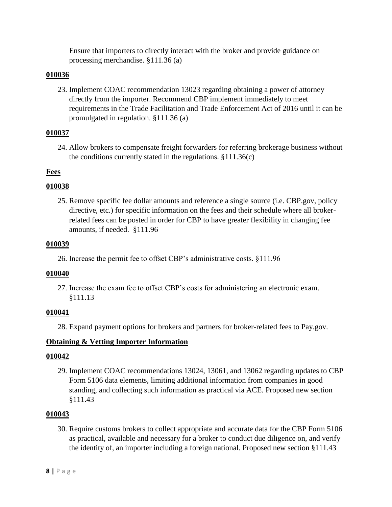Ensure that importers to directly interact with the broker and provide guidance on processing merchandise. §111.36 (a)

### **010036**

23. Implement COAC recommendation 13023 regarding obtaining a power of attorney directly from the importer. Recommend CBP implement immediately to meet requirements in the Trade Facilitation and Trade Enforcement Act of 2016 until it can be promulgated in regulation. §111.36 (a)

### **010037**

24. Allow brokers to compensate freight forwarders for referring brokerage business without the conditions currently stated in the regulations. §111.36(c)

# **Fees**

# **010038**

25. Remove specific fee dollar amounts and reference a single source (i.e. CBP.gov, policy directive, etc.) for specific information on the fees and their schedule where all brokerrelated fees can be posted in order for CBP to have greater flexibility in changing fee amounts, if needed. §111.96

### **010039**

26. Increase the permit fee to offset CBP's administrative costs. §111.96

### **010040**

27. Increase the exam fee to offset CBP's costs for administering an electronic exam. §111.13

### **010041**

28. Expand payment options for brokers and partners for broker-related fees to Pay.gov.

### **Obtaining & Vetting Importer Information**

### **010042**

29. Implement COAC recommendations 13024, 13061, and 13062 regarding updates to CBP Form 5106 data elements, limiting additional information from companies in good standing, and collecting such information as practical via ACE. Proposed new section §111.43

### **010043**

30. Require customs brokers to collect appropriate and accurate data for the CBP Form 5106 as practical, available and necessary for a broker to conduct due diligence on, and verify the identity of, an importer including a foreign national. Proposed new section §111.43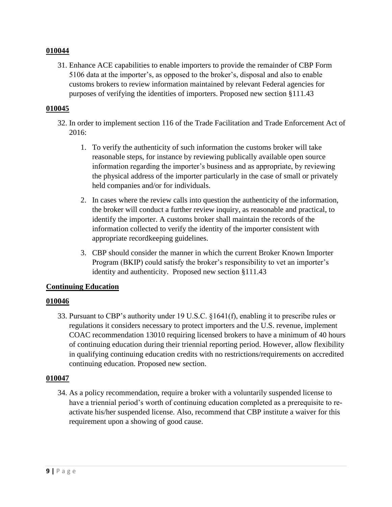31. Enhance ACE capabilities to enable importers to provide the remainder of CBP Form 5106 data at the importer's, as opposed to the broker's, disposal and also to enable customs brokers to review information maintained by relevant Federal agencies for purposes of verifying the identities of importers. Proposed new section §111.43

### **010045**

- 32. In order to implement section 116 of the Trade Facilitation and Trade Enforcement Act of 2016:
	- 1. To verify the authenticity of such information the customs broker will take reasonable steps, for instance by reviewing publically available open source information regarding the importer's business and as appropriate, by reviewing the physical address of the importer particularly in the case of small or privately held companies and/or for individuals.
	- 2. In cases where the review calls into question the authenticity of the information, the broker will conduct a further review inquiry, as reasonable and practical, to identify the importer. A customs broker shall maintain the records of the information collected to verify the identity of the importer consistent with appropriate recordkeeping guidelines.
	- 3. CBP should consider the manner in which the current Broker Known Importer Program (BKIP) could satisfy the broker's responsibility to vet an importer's identity and authenticity. Proposed new section §111.43

### **Continuing Education**

### **010046**

33. Pursuant to CBP's authority under 19 U.S.C. §1641(f), enabling it to prescribe rules or regulations it considers necessary to protect importers and the U.S. revenue, implement COAC recommendation 13010 requiring licensed brokers to have a minimum of 40 hours of continuing education during their triennial reporting period. However, allow flexibility in qualifying continuing education credits with no restrictions/requirements on accredited continuing education. Proposed new section.

### **010047**

34. As a policy recommendation, require a broker with a voluntarily suspended license to have a triennial period's worth of continuing education completed as a prerequisite to reactivate his/her suspended license. Also, recommend that CBP institute a waiver for this requirement upon a showing of good cause.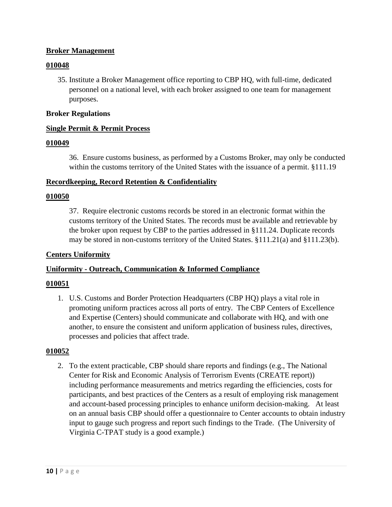### **Broker Management**

### **010048**

35. Institute a Broker Management office reporting to CBP HQ, with full-time, dedicated personnel on a national level, with each broker assigned to one team for management purposes.

### **Broker Regulations**

### **Single Permit & Permit Process**

### **010049**

36. Ensure customs business, as performed by a Customs Broker, may only be conducted within the customs territory of the United States with the issuance of a permit. §111.19

### **Recordkeeping, Record Retention & Confidentiality**

### **010050**

37. Require electronic customs records be stored in an electronic format within the customs territory of the United States. The records must be available and retrievable by the broker upon request by CBP to the parties addressed in §111.24. Duplicate records may be stored in non-customs territory of the United States. §111.21(a) and §111.23(b).

### **Centers Uniformity**

### **Uniformity - Outreach, Communication & Informed Compliance**

### **010051**

1. U.S. Customs and Border Protection Headquarters (CBP HQ) plays a vital role in promoting uniform practices across all ports of entry. The CBP Centers of Excellence and Expertise (Centers) should communicate and collaborate with HQ, and with one another, to ensure the consistent and uniform application of business rules, directives, processes and policies that affect trade.

### **010052**

2. To the extent practicable, CBP should share reports and findings (e.g., The National Center for Risk and Economic Analysis of Terrorism Events (CREATE report)) including performance measurements and metrics regarding the efficiencies, costs for participants, and best practices of the Centers as a result of employing risk management and account-based processing principles to enhance uniform decision-making. At least on an annual basis CBP should offer a questionnaire to Center accounts to obtain industry input to gauge such progress and report such findings to the Trade. (The University of Virginia C-TPAT study is a good example.)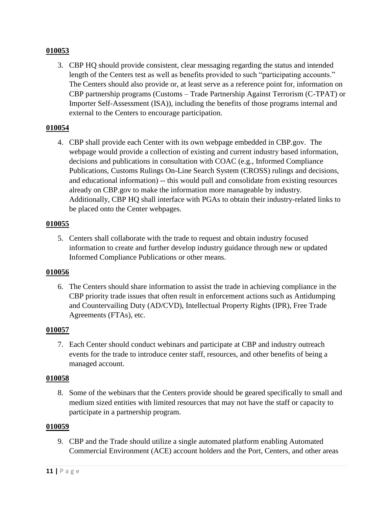3. CBP HQ should provide consistent, clear messaging regarding the status and intended length of the Centers test as well as benefits provided to such "participating accounts." The Centers should also provide or, at least serve as a reference point for, information on CBP partnership programs (Customs – Trade Partnership Against Terrorism (C-TPAT) or Importer Self-Assessment (ISA)), including the benefits of those programs internal and external to the Centers to encourage participation.

### **010054**

4. CBP shall provide each Center with its own webpage embedded in CBP.gov. The webpage would provide a collection of existing and current industry based information, decisions and publications in consultation with COAC (e.g., Informed Compliance Publications, Customs Rulings On-Line Search System (CROSS) rulings and decisions, and educational information) -- this would pull and consolidate from existing resources already on CBP.gov to make the information more manageable by industry. Additionally, CBP HQ shall interface with PGAs to obtain their industry-related links to be placed onto the Center webpages.

### **010055**

5. Centers shall collaborate with the trade to request and obtain industry focused information to create and further develop industry guidance through new or updated Informed Compliance Publications or other means.

### **010056**

6. The Centers should share information to assist the trade in achieving compliance in the CBP priority trade issues that often result in enforcement actions such as Antidumping and Countervailing Duty (AD/CVD), Intellectual Property Rights (IPR), Free Trade Agreements (FTAs), etc.

### **010057**

7. Each Center should conduct webinars and participate at CBP and industry outreach events for the trade to introduce center staff, resources, and other benefits of being a managed account.

### **010058**

8. Some of the webinars that the Centers provide should be geared specifically to small and medium sized entities with limited resources that may not have the staff or capacity to participate in a partnership program.

### **010059**

9. CBP and the Trade should utilize a single automated platform enabling Automated Commercial Environment (ACE) account holders and the Port, Centers, and other areas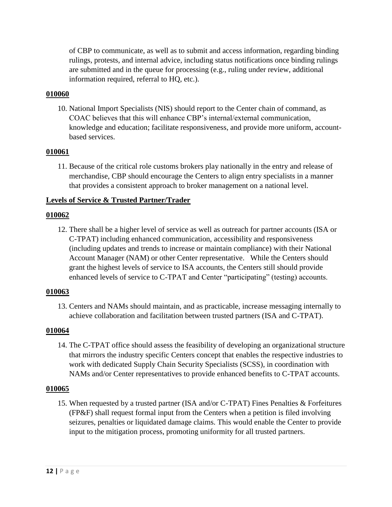of CBP to communicate, as well as to submit and access information, regarding binding rulings, protests, and internal advice, including status notifications once binding rulings are submitted and in the queue for processing (e.g., ruling under review, additional information required, referral to HQ, etc.).

### **010060**

10. National Import Specialists (NIS) should report to the Center chain of command, as COAC believes that this will enhance CBP's internal/external communication, knowledge and education; facilitate responsiveness, and provide more uniform, accountbased services.

### **010061**

11. Because of the critical role customs brokers play nationally in the entry and release of merchandise, CBP should encourage the Centers to align entry specialists in a manner that provides a consistent approach to broker management on a national level.

### **Levels of Service & Trusted Partner/Trader**

### **010062**

12. There shall be a higher level of service as well as outreach for partner accounts (ISA or C-TPAT) including enhanced communication, accessibility and responsiveness (including updates and trends to increase or maintain compliance) with their National Account Manager (NAM) or other Center representative. While the Centers should grant the highest levels of service to ISA accounts, the Centers still should provide enhanced levels of service to C-TPAT and Center "participating" (testing) accounts.

### **010063**

13. Centers and NAMs should maintain, and as practicable, increase messaging internally to achieve collaboration and facilitation between trusted partners (ISA and C-TPAT).

### **010064**

14. The C-TPAT office should assess the feasibility of developing an organizational structure that mirrors the industry specific Centers concept that enables the respective industries to work with dedicated Supply Chain Security Specialists (SCSS), in coordination with NAMs and/or Center representatives to provide enhanced benefits to C-TPAT accounts.

### **010065**

15. When requested by a trusted partner (ISA and/or C-TPAT) Fines Penalties & Forfeitures (FP&F) shall request formal input from the Centers when a petition is filed involving seizures, penalties or liquidated damage claims. This would enable the Center to provide input to the mitigation process, promoting uniformity for all trusted partners.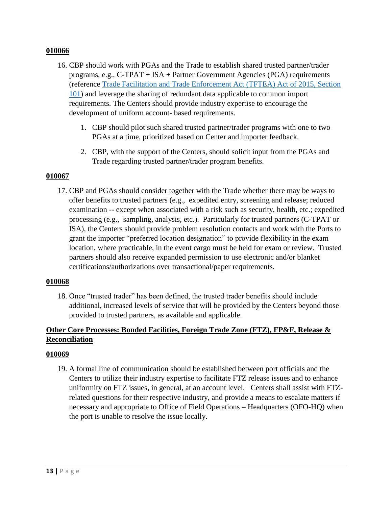- 16. CBP should work with PGAs and the Trade to establish shared trusted partner/trader programs, e.g., C-TPAT + ISA + Partner Government Agencies (PGA) requirements (reference [Trade Facilitation and Trade Enforcement Act \(TFTEA\) Act of 2015, Section](https://www.congress.gov/114/crpt/hrpt376/CRPT-114hrpt376.pdf)  [101\)](https://www.congress.gov/114/crpt/hrpt376/CRPT-114hrpt376.pdf) and leverage the sharing of redundant data applicable to common import requirements. The Centers should provide industry expertise to encourage the development of uniform account- based requirements.
	- 1. CBP should pilot such shared trusted partner/trader programs with one to two PGAs at a time, prioritized based on Center and importer feedback.
	- 2. CBP, with the support of the Centers, should solicit input from the PGAs and Trade regarding trusted partner/trader program benefits.

#### **010067**

17. CBP and PGAs should consider together with the Trade whether there may be ways to offer benefits to trusted partners (e.g., expedited entry, screening and release; reduced examination -- except when associated with a risk such as security, health, etc.; expedited processing (e.g., sampling, analysis, etc.). Particularly for trusted partners (C-TPAT or ISA), the Centers should provide problem resolution contacts and work with the Ports to grant the importer "preferred location designation" to provide flexibility in the exam location, where practicable, in the event cargo must be held for exam or review. Trusted partners should also receive expanded permission to use electronic and/or blanket certifications/authorizations over transactional/paper requirements.

#### **010068**

18. Once "trusted trader" has been defined, the trusted trader benefits should include additional, increased levels of service that will be provided by the Centers beyond those provided to trusted partners, as available and applicable.

### **Other Core Processes: Bonded Facilities, Foreign Trade Zone (FTZ), FP&F, Release & Reconciliation**

### **010069**

19. A formal line of communication should be established between port officials and the Centers to utilize their industry expertise to facilitate FTZ release issues and to enhance uniformity on FTZ issues, in general, at an account level. Centers shall assist with FTZrelated questions for their respective industry, and provide a means to escalate matters if necessary and appropriate to Office of Field Operations – Headquarters (OFO-HQ) when the port is unable to resolve the issue locally.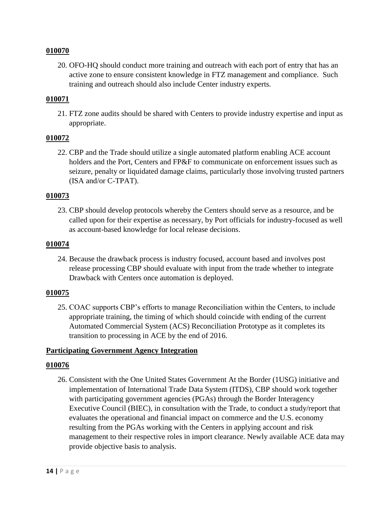20. OFO-HQ should conduct more training and outreach with each port of entry that has an active zone to ensure consistent knowledge in FTZ management and compliance. Such training and outreach should also include Center industry experts.

#### **010071**

21. FTZ zone audits should be shared with Centers to provide industry expertise and input as appropriate.

### **010072**

22. CBP and the Trade should utilize a single automated platform enabling ACE account holders and the Port, Centers and FP&F to communicate on enforcement issues such as seizure, penalty or liquidated damage claims, particularly those involving trusted partners (ISA and/or C-TPAT).

#### **010073**

23. CBP should develop protocols whereby the Centers should serve as a resource, and be called upon for their expertise as necessary, by Port officials for industry-focused as well as account-based knowledge for local release decisions.

#### **010074**

24. Because the drawback process is industry focused, account based and involves post release processing CBP should evaluate with input from the trade whether to integrate Drawback with Centers once automation is deployed.

#### **010075**

25. COAC supports CBP's efforts to manage Reconciliation within the Centers, to include appropriate training, the timing of which should coincide with ending of the current Automated Commercial System (ACS) Reconciliation Prototype as it completes its transition to processing in ACE by the end of 2016.

### **Participating Government Agency Integration**

#### **010076**

26. Consistent with the One United States Government At the Border (1USG) initiative and implementation of International Trade Data System (ITDS), CBP should work together with participating government agencies (PGAs) through the Border Interagency Executive Council (BIEC), in consultation with the Trade, to conduct a study/report that evaluates the operational and financial impact on commerce and the U.S. economy resulting from the PGAs working with the Centers in applying account and risk management to their respective roles in import clearance. Newly available ACE data may provide objective basis to analysis.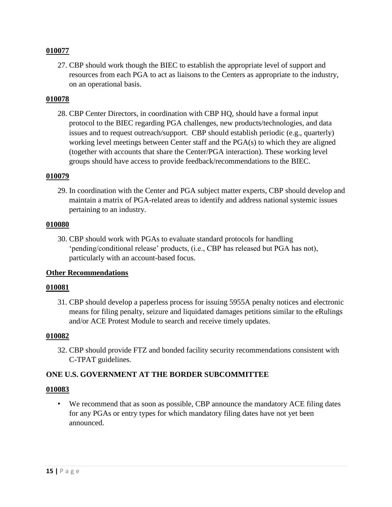27. CBP should work though the BIEC to establish the appropriate level of support and resources from each PGA to act as liaisons to the Centers as appropriate to the industry, on an operational basis.

#### **010078**

28. CBP Center Directors, in coordination with CBP HQ, should have a formal input protocol to the BIEC regarding PGA challenges, new products/technologies, and data issues and to request outreach/support. CBP should establish periodic (e.g., quarterly) working level meetings between Center staff and the PGA(s) to which they are aligned (together with accounts that share the Center/PGA interaction). These working level groups should have access to provide feedback/recommendations to the BIEC.

#### **010079**

29. In coordination with the Center and PGA subject matter experts, CBP should develop and maintain a matrix of PGA-related areas to identify and address national systemic issues pertaining to an industry.

#### **010080**

30. CBP should work with PGAs to evaluate standard protocols for handling 'pending/conditional release' products, (i.e., CBP has released but PGA has not), particularly with an account-based focus.

### **Other Recommendations**

#### **010081**

31. CBP should develop a paperless process for issuing 5955A penalty notices and electronic means for filing penalty, seizure and liquidated damages petitions similar to the eRulings and/or ACE Protest Module to search and receive timely updates.

#### **010082**

32. CBP should provide FTZ and bonded facility security recommendations consistent with C-TPAT guidelines.

### **ONE U.S. GOVERNMENT AT THE BORDER SUBCOMMITTEE**

### **010083**

• We recommend that as soon as possible, CBP announce the mandatory ACE filing dates for any PGAs or entry types for which mandatory filing dates have not yet been announced.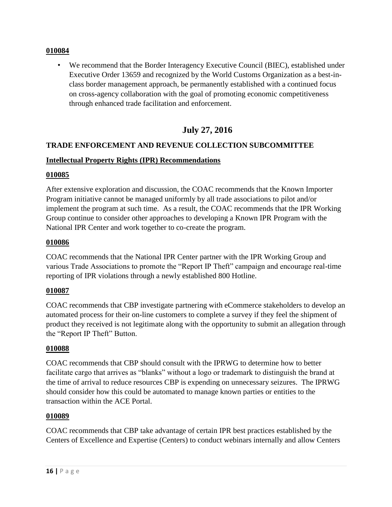• We recommend that the Border Interagency Executive Council (BIEC), established under Executive Order 13659 and recognized by the World Customs Organization as a best-inclass border management approach, be permanently established with a continued focus on cross-agency collaboration with the goal of promoting economic competitiveness through enhanced trade facilitation and enforcement.

# **July 27, 2016**

### **TRADE ENFORCEMENT AND REVENUE COLLECTION SUBCOMMITTEE**

### **Intellectual Property Rights (IPR) Recommendations**

#### **010085**

After extensive exploration and discussion, the COAC recommends that the Known Importer Program initiative cannot be managed uniformly by all trade associations to pilot and/or implement the program at such time. As a result, the COAC recommends that the IPR Working Group continue to consider other approaches to developing a Known IPR Program with the National IPR Center and work together to co-create the program.

### **010086**

COAC recommends that the National IPR Center partner with the IPR Working Group and various Trade Associations to promote the "Report IP Theft" campaign and encourage real-time reporting of IPR violations through a newly established 800 Hotline.

### **010087**

COAC recommends that CBP investigate partnering with eCommerce stakeholders to develop an automated process for their on-line customers to complete a survey if they feel the shipment of product they received is not legitimate along with the opportunity to submit an allegation through the "Report IP Theft" Button.

### **010088**

COAC recommends that CBP should consult with the IPRWG to determine how to better facilitate cargo that arrives as "blanks" without a logo or trademark to distinguish the brand at the time of arrival to reduce resources CBP is expending on unnecessary seizures. The IPRWG should consider how this could be automated to manage known parties or entities to the transaction within the ACE Portal.

#### **010089**

COAC recommends that CBP take advantage of certain IPR best practices established by the Centers of Excellence and Expertise (Centers) to conduct webinars internally and allow Centers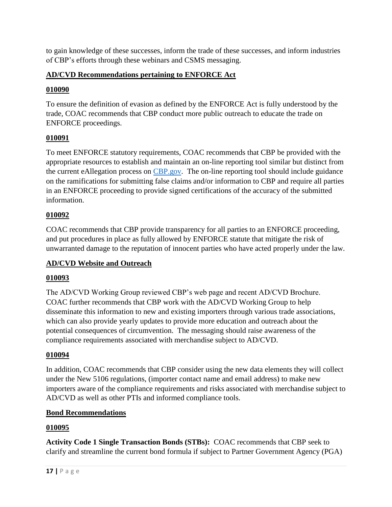to gain knowledge of these successes, inform the trade of these successes, and inform industries of CBP's efforts through these webinars and CSMS messaging.

# **AD/CVD Recommendations pertaining to ENFORCE Act**

# **010090**

To ensure the definition of evasion as defined by the ENFORCE Act is fully understood by the trade, COAC recommends that CBP conduct more public outreach to educate the trade on ENFORCE proceedings.

# **010091**

To meet ENFORCE statutory requirements, COAC recommends that CBP be provided with the appropriate resources to establish and maintain an on-line reporting tool similar but distinct from the current eAllegation process on [CBP.gov.](http://cbp.gov/) The on-line reporting tool should include guidance on the ramifications for submitting false claims and/or information to CBP and require all parties in an ENFORCE proceeding to provide signed certifications of the accuracy of the submitted information.

# **010092**

COAC recommends that CBP provide transparency for all parties to an ENFORCE proceeding, and put procedures in place as fully allowed by ENFORCE statute that mitigate the risk of unwarranted damage to the reputation of innocent parties who have acted properly under the law.

# **AD/CVD Website and Outreach**

# **010093**

The AD/CVD Working Group reviewed CBP's web page and recent AD/CVD Brochure. COAC further recommends that CBP work with the AD/CVD Working Group to help disseminate this information to new and existing importers through various trade associations, which can also provide yearly updates to provide more education and outreach about the potential consequences of circumvention. The messaging should raise awareness of the compliance requirements associated with merchandise subject to AD/CVD.

# **010094**

In addition, COAC recommends that CBP consider using the new data elements they will collect under the New 5106 regulations, (importer contact name and email address) to make new importers aware of the compliance requirements and risks associated with merchandise subject to AD/CVD as well as other PTIs and informed compliance tools.

# **Bond Recommendations**

# **010095**

**Activity Code 1 Single Transaction Bonds (STBs):** COAC recommends that CBP seek to clarify and streamline the current bond formula if subject to Partner Government Agency (PGA)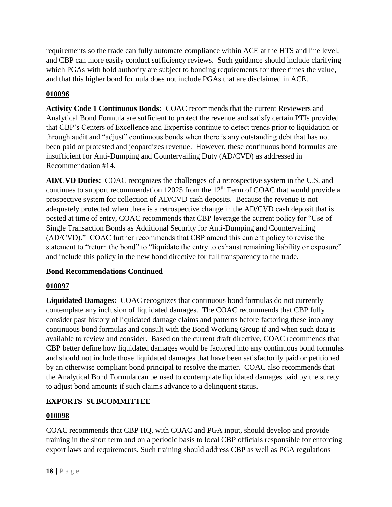requirements so the trade can fully automate compliance within ACE at the HTS and line level, and CBP can more easily conduct sufficiency reviews. Such guidance should include clarifying which PGAs with hold authority are subject to bonding requirements for three times the value, and that this higher bond formula does not include PGAs that are disclaimed in ACE.

# **010096**

**Activity Code 1 Continuous Bonds:** COAC recommends that the current Reviewers and Analytical Bond Formula are sufficient to protect the revenue and satisfy certain PTIs provided that CBP's Centers of Excellence and Expertise continue to detect trends prior to liquidation or through audit and "adjust" continuous bonds when there is any outstanding debt that has not been paid or protested and jeopardizes revenue. However, these continuous bond formulas are insufficient for Anti-Dumping and Countervailing Duty (AD/CVD) as addressed in Recommendation #14.

**AD/CVD Duties:** COAC recognizes the challenges of a retrospective system in the U.S. and continues to support recommendation 12025 from the  $12<sup>th</sup>$  Term of COAC that would provide a prospective system for collection of AD/CVD cash deposits. Because the revenue is not adequately protected when there is a retrospective change in the AD/CVD cash deposit that is posted at time of entry, COAC recommends that CBP leverage the current policy for "Use of Single Transaction Bonds as Additional Security for Anti-Dumping and Countervailing (AD/CVD)." COAC further recommends that CBP amend this current policy to revise the statement to "return the bond" to "liquidate the entry to exhaust remaining liability or exposure" and include this policy in the new bond directive for full transparency to the trade.

# **Bond Recommendations Continued**

# **010097**

**Liquidated Damages:** COAC recognizes that continuous bond formulas do not currently contemplate any inclusion of liquidated damages. The COAC recommends that CBP fully consider past history of liquidated damage claims and patterns before factoring these into any continuous bond formulas and consult with the Bond Working Group if and when such data is available to review and consider. Based on the current draft directive, COAC recommends that CBP better define how liquidated damages would be factored into any continuous bond formulas and should not include those liquidated damages that have been satisfactorily paid or petitioned by an otherwise compliant bond principal to resolve the matter. COAC also recommends that the Analytical Bond Formula can be used to contemplate liquidated damages paid by the surety to adjust bond amounts if such claims advance to a delinquent status.

# **EXPORTS SUBCOMMITTEE**

# **010098**

COAC recommends that CBP HQ, with COAC and PGA input, should develop and provide training in the short term and on a periodic basis to local CBP officials responsible for enforcing export laws and requirements. Such training should address CBP as well as PGA regulations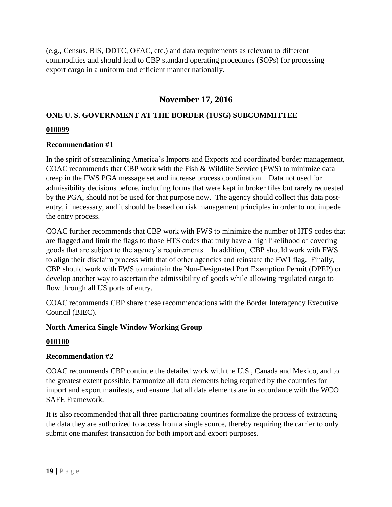(e.g., Census, BIS, DDTC, OFAC, etc.) and data requirements as relevant to different commodities and should lead to CBP standard operating procedures (SOPs) for processing export cargo in a uniform and efficient manner nationally.

# **November 17, 2016**

# **ONE U. S. GOVERNMENT AT THE BORDER (1USG) SUBCOMMITTEE**

### **010099**

### **Recommendation #1**

In the spirit of streamlining America's Imports and Exports and coordinated border management, COAC recommends that CBP work with the Fish & Wildlife Service (FWS) to minimize data creep in the FWS PGA message set and increase process coordination. Data not used for admissibility decisions before, including forms that were kept in broker files but rarely requested by the PGA, should not be used for that purpose now. The agency should collect this data postentry, if necessary, and it should be based on risk management principles in order to not impede the entry process.

COAC further recommends that CBP work with FWS to minimize the number of HTS codes that are flagged and limit the flags to those HTS codes that truly have a high likelihood of covering goods that are subject to the agency's requirements. In addition, CBP should work with FWS to align their disclaim process with that of other agencies and reinstate the FW1 flag. Finally, CBP should work with FWS to maintain the Non-Designated Port Exemption Permit (DPEP) or develop another way to ascertain the admissibility of goods while allowing regulated cargo to flow through all US ports of entry.

COAC recommends CBP share these recommendations with the Border Interagency Executive Council (BIEC).

### **North America Single Window Working Group**

### **010100**

### **Recommendation #2**

COAC recommends CBP continue the detailed work with the U.S., Canada and Mexico, and to the greatest extent possible, harmonize all data elements being required by the countries for import and export manifests, and ensure that all data elements are in accordance with the WCO SAFE Framework.

It is also recommended that all three participating countries formalize the process of extracting the data they are authorized to access from a single source, thereby requiring the carrier to only submit one manifest transaction for both import and export purposes.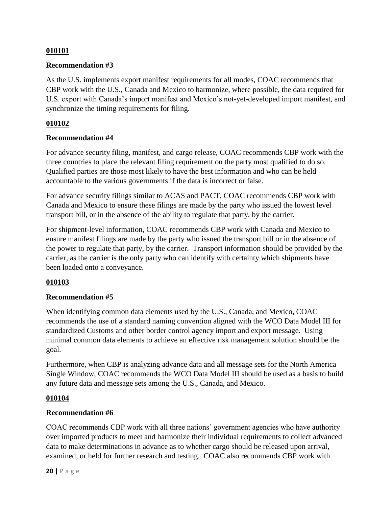### **Recommendation #3**

As the U.S. implements export manifest requirements for all modes, COAC recommends that CBP work with the U.S., Canada and Mexico to harmonize, where possible, the data required for U.S. export with Canada's import manifest and Mexico's not-yet-developed import manifest, and synchronize the timing requirements for filing.

### **010102**

### **Recommendation #4**

For advance security filing, manifest, and cargo release, COAC recommends CBP work with the three countries to place the relevant filing requirement on the party most qualified to do so. Qualified parties are those most likely to have the best information and who can be held accountable to the various governments if the data is incorrect or false.

For advance security filings similar to ACAS and PACT, COAC recommends CBP work with Canada and Mexico to ensure these filings are made by the party who issued the lowest level transport bill, or in the absence of the ability to regulate that party, by the carrier.

For shipment-level information, COAC recommends CBP work with Canada and Mexico to ensure manifest filings are made by the party who issued the transport bill or in the absence of the power to regulate that party, by the carrier. Transport information should be provided by the carrier, as the carrier is the only party who can identify with certainty which shipments have been loaded onto a conveyance.

### **010103**

### **Recommendation #5**

When identifying common data elements used by the U.S., Canada, and Mexico, COAC recommends the use of a standard naming convention aligned with the WCO Data Model III for standardized Customs and other border control agency import and export message. Using minimal common data elements to achieve an effective risk management solution should be the goal.

Furthermore, when CBP is analyzing advance data and all message sets for the North America Single Window, COAC recommends the WCO Data Model III should be used as a basis to build any future data and message sets among the U.S., Canada, and Mexico.

### **010104**

### **Recommendation #6**

COAC recommends CBP work with all three nations' government agencies who have authority over imported products to meet and harmonize their individual requirements to collect advanced data to make determinations in advance as to whether cargo should be released upon arrival, examined, or held for further research and testing. COAC also recommends CBP work with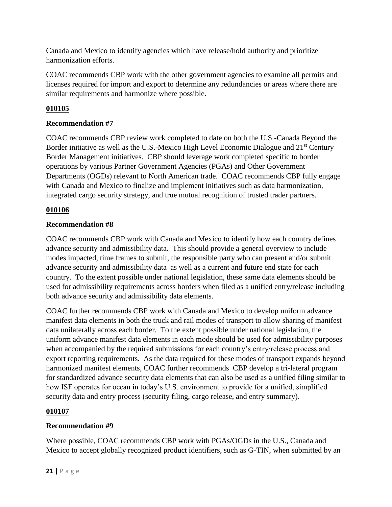Canada and Mexico to identify agencies which have release/hold authority and prioritize harmonization efforts.

COAC recommends CBP work with the other government agencies to examine all permits and licenses required for import and export to determine any redundancies or areas where there are similar requirements and harmonize where possible.

# **010105**

# **Recommendation #7**

COAC recommends CBP review work completed to date on both the U.S.-Canada Beyond the Border initiative as well as the U.S.-Mexico High Level Economic Dialogue and 21<sup>st</sup> Century Border Management initiatives. CBP should leverage work completed specific to border operations by various Partner Government Agencies (PGAs) and Other Government Departments (OGDs) relevant to North American trade. COAC recommends CBP fully engage with Canada and Mexico to finalize and implement initiatives such as data harmonization, integrated cargo security strategy, and true mutual recognition of trusted trader partners.

# **010106**

# **Recommendation #8**

COAC recommends CBP work with Canada and Mexico to identify how each country defines advance security and admissibility data. This should provide a general overview to include modes impacted, time frames to submit, the responsible party who can present and/or submit advance security and admissibility data as well as a current and future end state for each country. To the extent possible under national legislation, these same data elements should be used for admissibility requirements across borders when filed as a unified entry/release including both advance security and admissibility data elements.

COAC further recommends CBP work with Canada and Mexico to develop uniform advance manifest data elements in both the truck and rail modes of transport to allow sharing of manifest data unilaterally across each border. To the extent possible under national legislation, the uniform advance manifest data elements in each mode should be used for admissibility purposes when accompanied by the required submissions for each country's entry/release process and export reporting requirements. As the data required for these modes of transport expands beyond harmonized manifest elements, COAC further recommends CBP develop a tri-lateral program for standardized advance security data elements that can also be used as a unified filing similar to how ISF operates for ocean in today's U.S. environment to provide for a unified, simplified security data and entry process (security filing, cargo release, and entry summary).

# **010107**

# **Recommendation #9**

Where possible, COAC recommends CBP work with PGAs/OGDs in the U.S., Canada and Mexico to accept globally recognized product identifiers, such as G-TIN, when submitted by an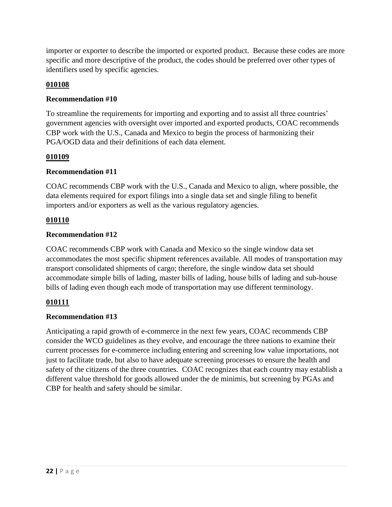importer or exporter to describe the imported or exported product. Because these codes are more specific and more descriptive of the product, the codes should be preferred over other types of identifiers used by specific agencies.

## **010108**

### **Recommendation #10**

To streamline the requirements for importing and exporting and to assist all three countries' government agencies with oversight over imported and exported products, COAC recommends CBP work with the U.S., Canada and Mexico to begin the process of harmonizing their PGA/OGD data and their definitions of each data element.

### **010109**

### **Recommendation #11**

COAC recommends CBP work with the U.S., Canada and Mexico to align, where possible, the data elements required for export filings into a single data set and single filing to benefit importers and/or exporters as well as the various regulatory agencies.

### **010110**

### **Recommendation #12**

COAC recommends CBP work with Canada and Mexico so the single window data set accommodates the most specific shipment references available. All modes of transportation may transport consolidated shipments of cargo; therefore, the single window data set should accommodate simple bills of lading, master bills of lading, house bills of lading and sub-house bills of lading even though each mode of transportation may use different terminology.

# **010111**

# **Recommendation #13**

Anticipating a rapid growth of e-commerce in the next few years, COAC recommends CBP consider the WCO guidelines as they evolve, and encourage the three nations to examine their current processes for e-commerce including entering and screening low value importations, not just to facilitate trade, but also to have adequate screening processes to ensure the health and safety of the citizens of the three countries. COAC recognizes that each country may establish a different value threshold for goods allowed under the de minimis, but screening by PGAs and CBP for health and safety should be similar.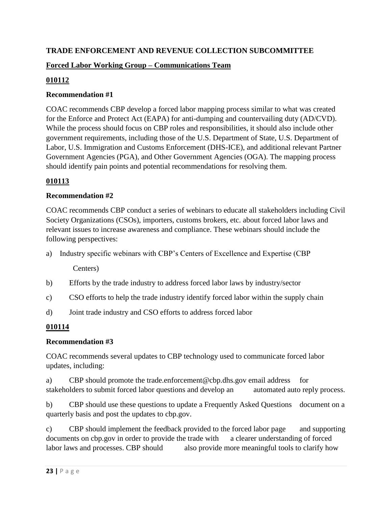# **TRADE ENFORCEMENT AND REVENUE COLLECTION SUBCOMMITTEE**

# **Forced Labor Working Group – Communications Team**

### **010112**

### **Recommendation #1**

COAC recommends CBP develop a forced labor mapping process similar to what was created for the Enforce and Protect Act (EAPA) for anti-dumping and countervailing duty (AD/CVD). While the process should focus on CBP roles and responsibilities, it should also include other government requirements, including those of the U.S. Department of State, U.S. Department of Labor, U.S. Immigration and Customs Enforcement (DHS-ICE), and additional relevant Partner Government Agencies (PGA), and Other Government Agencies (OGA). The mapping process should identify pain points and potential recommendations for resolving them.

### **010113**

### **Recommendation #2**

COAC recommends CBP conduct a series of webinars to educate all stakeholders including Civil Society Organizations (CSOs), importers, customs brokers, etc. about forced labor laws and relevant issues to increase awareness and compliance. These webinars should include the following perspectives:

a) Industry specific webinars with CBP's Centers of Excellence and Expertise (CBP

Centers)

- b) Efforts by the trade industry to address forced labor laws by industry/sector
- c) CSO efforts to help the trade industry identify forced labor within the supply chain
- d) Joint trade industry and CSO efforts to address forced labor

# **010114**

### **Recommendation #3**

COAC recommends several updates to CBP technology used to communicate forced labor updates, including:

a) CBP should promote the trade.enforcement@cbp.dhs.gov email address for stakeholders to submit forced labor questions and develop an automated auto reply process.

b) CBP should use these questions to update a Frequently Asked Questions document on a quarterly basis and post the updates to cbp.gov.

c) CBP should implement the feedback provided to the forced labor page and supporting documents on cbp.gov in order to provide the trade with a clearer understanding of forced labor laws and processes. CBP should also provide more meaningful tools to clarify how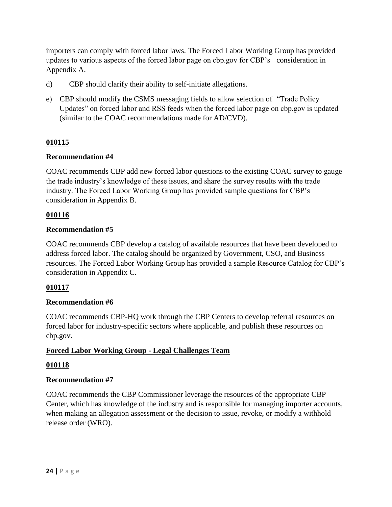importers can comply with forced labor laws. The Forced Labor Working Group has provided updates to various aspects of the forced labor page on cbp.gov for CBP's consideration in Appendix A.

- d) CBP should clarify their ability to self-initiate allegations.
- e) CBP should modify the CSMS messaging fields to allow selection of "Trade Policy Updates" on forced labor and RSS feeds when the forced labor page on cbp.gov is updated (similar to the COAC recommendations made for AD/CVD).

### **010115**

### **Recommendation #4**

COAC recommends CBP add new forced labor questions to the existing COAC survey to gauge the trade industry's knowledge of these issues, and share the survey results with the trade industry. The Forced Labor Working Group has provided sample questions for CBP's consideration in Appendix B.

### **010116**

### **Recommendation #5**

COAC recommends CBP develop a catalog of available resources that have been developed to address forced labor. The catalog should be organized by Government, CSO, and Business resources. The Forced Labor Working Group has provided a sample Resource Catalog for CBP's consideration in Appendix C.

### **010117**

### **Recommendation #6**

COAC recommends CBP-HQ work through the CBP Centers to develop referral resources on forced labor for industry-specific sectors where applicable, and publish these resources on cbp.gov.

### **Forced Labor Working Group - Legal Challenges Team**

### **010118**

### **Recommendation #7**

COAC recommends the CBP Commissioner leverage the resources of the appropriate CBP Center, which has knowledge of the industry and is responsible for managing importer accounts, when making an allegation assessment or the decision to issue, revoke, or modify a withhold release order (WRO).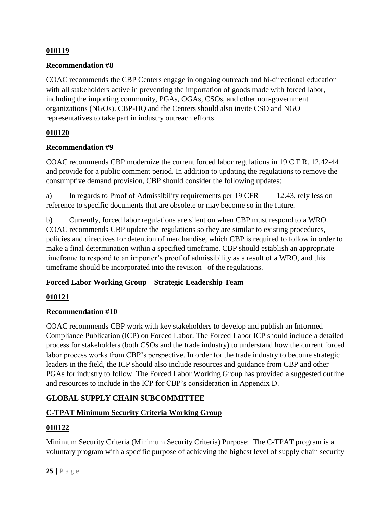### **Recommendation #8**

COAC recommends the CBP Centers engage in ongoing outreach and bi-directional education with all stakeholders active in preventing the importation of goods made with forced labor, including the importing community, PGAs, OGAs, CSOs, and other non-government organizations (NGOs). CBP-HQ and the Centers should also invite CSO and NGO representatives to take part in industry outreach efforts.

### **010120**

### **Recommendation #9**

COAC recommends CBP modernize the current forced labor regulations in 19 C.F.R. 12.42-44 and provide for a public comment period. In addition to updating the regulations to remove the consumptive demand provision, CBP should consider the following updates:

a) In regards to Proof of Admissibility requirements per 19 CFR 12.43, rely less on reference to specific documents that are obsolete or may become so in the future.

b) Currently, forced labor regulations are silent on when CBP must respond to a WRO. COAC recommends CBP update the regulations so they are similar to existing procedures, policies and directives for detention of merchandise, which CBP is required to follow in order to make a final determination within a specified timeframe. CBP should establish an appropriate timeframe to respond to an importer's proof of admissibility as a result of a WRO, and this timeframe should be incorporated into the revision of the regulations.

### **Forced Labor Working Group – Strategic Leadership Team**

### **010121**

### **Recommendation #10**

COAC recommends CBP work with key stakeholders to develop and publish an Informed Compliance Publication (ICP) on Forced Labor. The Forced Labor ICP should include a detailed process for stakeholders (both CSOs and the trade industry) to understand how the current forced labor process works from CBP's perspective. In order for the trade industry to become strategic leaders in the field, the ICP should also include resources and guidance from CBP and other PGAs for industry to follow. The Forced Labor Working Group has provided a suggested outline and resources to include in the ICP for CBP's consideration in Appendix D.

# **GLOBAL SUPPLY CHAIN SUBCOMMITTEE**

### **C-TPAT Minimum Security Criteria Working Group**

### **010122**

Minimum Security Criteria (Minimum Security Criteria) Purpose: The C-TPAT program is a voluntary program with a specific purpose of achieving the highest level of supply chain security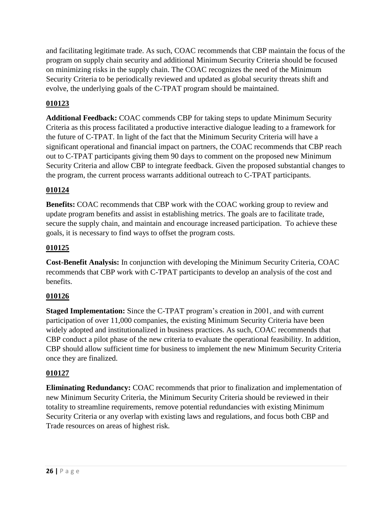and facilitating legitimate trade. As such, COAC recommends that CBP maintain the focus of the program on supply chain security and additional Minimum Security Criteria should be focused on minimizing risks in the supply chain. The COAC recognizes the need of the Minimum Security Criteria to be periodically reviewed and updated as global security threats shift and evolve, the underlying goals of the C-TPAT program should be maintained.

# **010123**

**Additional Feedback:** COAC commends CBP for taking steps to update Minimum Security Criteria as this process facilitated a productive interactive dialogue leading to a framework for the future of C-TPAT. In light of the fact that the Minimum Security Criteria will have a significant operational and financial impact on partners, the COAC recommends that CBP reach out to C-TPAT participants giving them 90 days to comment on the proposed new Minimum Security Criteria and allow CBP to integrate feedback. Given the proposed substantial changes to the program, the current process warrants additional outreach to C-TPAT participants.

# **010124**

**Benefits:** COAC recommends that CBP work with the COAC working group to review and update program benefits and assist in establishing metrics. The goals are to facilitate trade, secure the supply chain, and maintain and encourage increased participation. To achieve these goals, it is necessary to find ways to offset the program costs.

# **010125**

**Cost-Benefit Analysis:** In conjunction with developing the Minimum Security Criteria, COAC recommends that CBP work with C-TPAT participants to develop an analysis of the cost and benefits.

# **010126**

**Staged Implementation:** Since the C-TPAT program's creation in 2001, and with current participation of over 11,000 companies, the existing Minimum Security Criteria have been widely adopted and institutionalized in business practices. As such, COAC recommends that CBP conduct a pilot phase of the new criteria to evaluate the operational feasibility. In addition, CBP should allow sufficient time for business to implement the new Minimum Security Criteria once they are finalized.

# **010127**

**Eliminating Redundancy:** COAC recommends that prior to finalization and implementation of new Minimum Security Criteria, the Minimum Security Criteria should be reviewed in their totality to streamline requirements, remove potential redundancies with existing Minimum Security Criteria or any overlap with existing laws and regulations, and focus both CBP and Trade resources on areas of highest risk*.*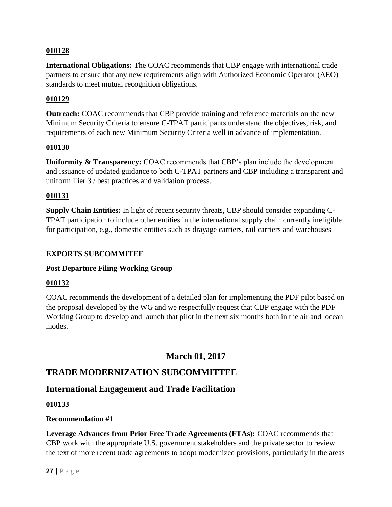**International Obligations:** The COAC recommends that CBP engage with international trade partners to ensure that any new requirements align with Authorized Economic Operator (AEO) standards to meet mutual recognition obligations.

### **010129**

**Outreach:** COAC recommends that CBP provide training and reference materials on the new Minimum Security Criteria to ensure C-TPAT participants understand the objectives, risk, and requirements of each new Minimum Security Criteria well in advance of implementation.

### **010130**

**Uniformity & Transparency:** COAC recommends that CBP's plan include the development and issuance of updated guidance to both C-TPAT partners and CBP including a transparent and uniform Tier 3 / best practices and validation process.

### **010131**

**Supply Chain Entities:** In light of recent security threats, CBP should consider expanding C-TPAT participation to include other entities in the international supply chain currently ineligible for participation, e.g., domestic entities such as drayage carriers, rail carriers and warehouses

### **EXPORTS SUBCOMMITEE**

### **Post Departure Filing Working Group**

### **010132**

COAC recommends the development of a detailed plan for implementing the PDF pilot based on the proposal developed by the WG and we respectfully request that CBP engage with the PDF Working Group to develop and launch that pilot in the next six months both in the air and ocean modes.

# **March 01, 2017**

# **TRADE MODERNIZATION SUBCOMMITTEE**

# **International Engagement and Trade Facilitation**

### **010133**

### **Recommendation #1**

**Leverage Advances from Prior Free Trade Agreements (FTAs):** COAC recommends that CBP work with the appropriate U.S. government stakeholders and the private sector to review the text of more recent trade agreements to adopt modernized provisions, particularly in the areas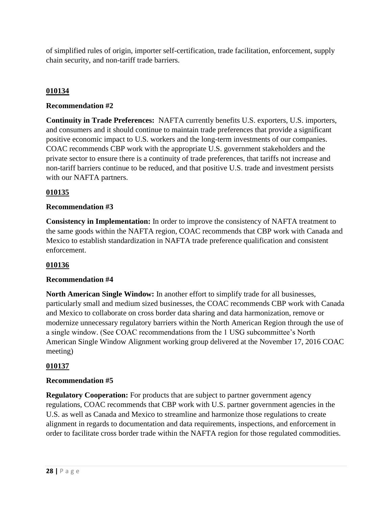of simplified rules of origin, importer self-certification, trade facilitation, enforcement, supply chain security, and non-tariff trade barriers.

## **010134**

### **Recommendation #2**

**Continuity in Trade Preferences:** NAFTA currently benefits U.S. exporters, U.S. importers, and consumers and it should continue to maintain trade preferences that provide a significant positive economic impact to U.S. workers and the long-term investments of our companies. COAC recommends CBP work with the appropriate U.S. government stakeholders and the private sector to ensure there is a continuity of trade preferences, that tariffs not increase and non-tariff barriers continue to be reduced, and that positive U.S. trade and investment persists with our NAFTA partners.

### **010135**

### **Recommendation #3**

**Consistency in Implementation:** In order to improve the consistency of NAFTA treatment to the same goods within the NAFTA region, COAC recommends that CBP work with Canada and Mexico to establish standardization in NAFTA trade preference qualification and consistent enforcement.

### **010136**

### **Recommendation #4**

**North American Single Window:** In another effort to simplify trade for all businesses, particularly small and medium sized businesses, the COAC recommends CBP work with Canada and Mexico to collaborate on cross border data sharing and data harmonization, remove or modernize unnecessary regulatory barriers within the North American Region through the use of a single window. (See COAC recommendations from the 1 USG subcommittee's North American Single Window Alignment working group delivered at the November 17, 2016 COAC meeting)

### **010137**

### **Recommendation #5**

**Regulatory Cooperation:** For products that are subject to partner government agency regulations, COAC recommends that CBP work with U.S. partner government agencies in the U.S. as well as Canada and Mexico to streamline and harmonize those regulations to create alignment in regards to documentation and data requirements, inspections, and enforcement in order to facilitate cross border trade within the NAFTA region for those regulated commodities.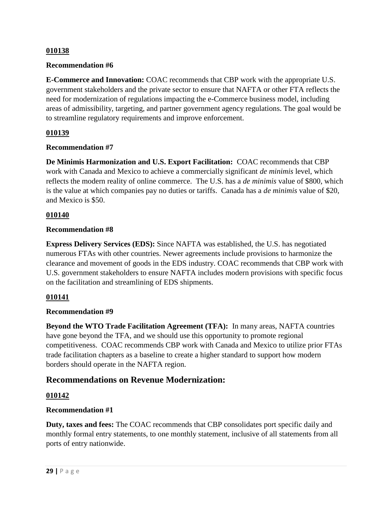### **Recommendation #6**

**E-Commerce and Innovation:** COAC recommends that CBP work with the appropriate U.S. government stakeholders and the private sector to ensure that NAFTA or other FTA reflects the need for modernization of regulations impacting the e-Commerce business model, including areas of admissibility, targeting, and partner government agency regulations. The goal would be to streamline regulatory requirements and improve enforcement.

### **010139**

### **Recommendation #7**

**De Minimis Harmonization and U.S. Export Facilitation:** COAC recommends that CBP work with Canada and Mexico to achieve a commercially significant *de minimis* level, which reflects the modern reality of online commerce. The U.S. has a *de minimis* value of \$800, which is the value at which companies pay no duties or tariffs. Canada has a *de minimis* value of \$20, and Mexico is \$50.

### **010140**

### **Recommendation #8**

**Express Delivery Services (EDS):** Since NAFTA was established, the U.S. has negotiated numerous FTAs with other countries. Newer agreements include provisions to harmonize the clearance and movement of goods in the EDS industry. COAC recommends that CBP work with U.S. government stakeholders to ensure NAFTA includes modern provisions with specific focus on the facilitation and streamlining of EDS shipments.

### **010141**

### **Recommendation #9**

**Beyond the WTO Trade Facilitation Agreement (TFA):** In many areas, NAFTA countries have gone beyond the TFA, and we should use this opportunity to promote regional competitiveness. COAC recommends CBP work with Canada and Mexico to utilize prior FTAs trade facilitation chapters as a baseline to create a higher standard to support how modern borders should operate in the NAFTA region.

# **Recommendations on Revenue Modernization:**

### **010142**

### **Recommendation #1**

**Duty, taxes and fees:** The COAC recommends that CBP consolidates port specific daily and monthly formal entry statements, to one monthly statement, inclusive of all statements from all ports of entry nationwide.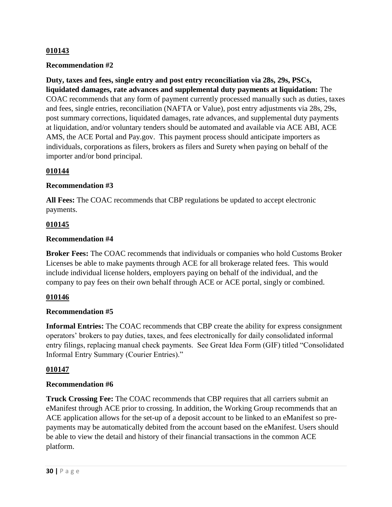### **Recommendation #2**

**Duty, taxes and fees, single entry and post entry reconciliation via 28s, 29s, PSCs, liquidated damages, rate advances and supplemental duty payments at liquidation:** The COAC recommends that any form of payment currently processed manually such as duties, taxes and fees, single entries, reconciliation (NAFTA or Value), post entry adjustments via 28s, 29s, post summary corrections, liquidated damages, rate advances, and supplemental duty payments at liquidation, and/or voluntary tenders should be automated and available via ACE ABI, ACE AMS, the ACE Portal and Pay.gov. This payment process should anticipate importers as individuals, corporations as filers, brokers as filers and Surety when paying on behalf of the importer and/or bond principal.

### **010144**

### **Recommendation #3**

**All Fees:** The COAC recommends that CBP regulations be updated to accept electronic payments.

### **010145**

### **Recommendation #4**

**Broker Fees:** The COAC recommends that individuals or companies who hold Customs Broker Licenses be able to make payments through ACE for all brokerage related fees. This would include individual license holders, employers paying on behalf of the individual, and the company to pay fees on their own behalf through ACE or ACE portal, singly or combined.

### **010146**

### **Recommendation #5**

**Informal Entries:** The COAC recommends that CBP create the ability for express consignment operators' brokers to pay duties, taxes, and fees electronically for daily consolidated informal entry filings, replacing manual check payments. See Great Idea Form (GIF) titled "Consolidated Informal Entry Summary (Courier Entries)."

### **010147**

### **Recommendation #6**

**Truck Crossing Fee:** The COAC recommends that CBP requires that all carriers submit an eManifest through ACE prior to crossing. In addition, the Working Group recommends that an ACE application allows for the set-up of a deposit account to be linked to an eManifest so prepayments may be automatically debited from the account based on the eManifest. Users should be able to view the detail and history of their financial transactions in the common ACE platform.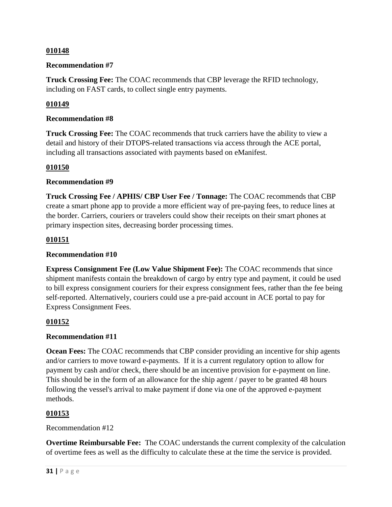### **Recommendation #7**

**Truck Crossing Fee:** The COAC recommends that CBP leverage the RFID technology, including on FAST cards, to collect single entry payments.

### **010149**

### **Recommendation #8**

**Truck Crossing Fee:** The COAC recommends that truck carriers have the ability to view a detail and history of their DTOPS-related transactions via access through the ACE portal, including all transactions associated with payments based on eManifest.

### **010150**

### **Recommendation #9**

**Truck Crossing Fee / APHIS/ CBP User Fee / Tonnage:** The COAC recommends that CBP create a smart phone app to provide a more efficient way of pre-paying fees, to reduce lines at the border. Carriers, couriers or travelers could show their receipts on their smart phones at primary inspection sites, decreasing border processing times.

### **010151**

### **Recommendation #10**

**Express Consignment Fee (Low Value Shipment Fee):** The COAC recommends that since shipment manifests contain the breakdown of cargo by entry type and payment, it could be used to bill express consignment couriers for their express consignment fees, rather than the fee being self-reported. Alternatively, couriers could use a pre-paid account in ACE portal to pay for Express Consignment Fees.

### **010152**

### **Recommendation #11**

**Ocean Fees:** The COAC recommends that CBP consider providing an incentive for ship agents and/or carriers to move toward e-payments. If it is a current regulatory option to allow for payment by cash and/or check, there should be an incentive provision for e-payment on line. This should be in the form of an allowance for the ship agent / payer to be granted 48 hours following the vessel's arrival to make payment if done via one of the approved e-payment methods.

### **010153**

### Recommendation #12

**Overtime Reimbursable Fee:** The COAC understands the current complexity of the calculation of overtime fees as well as the difficulty to calculate these at the time the service is provided.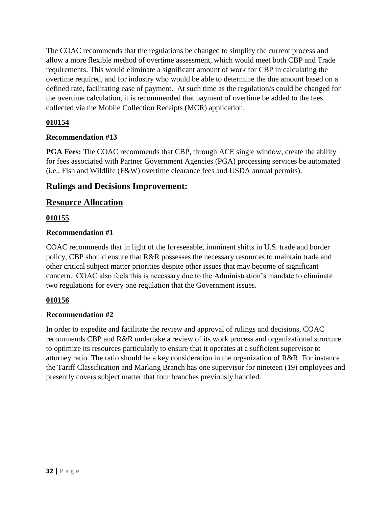The COAC recommends that the regulations be changed to simplify the current process and allow a more flexible method of overtime assessment, which would meet both CBP and Trade requirements. This would eliminate a significant amount of work for CBP in calculating the overtime required, and for industry who would be able to determine the due amount based on a defined rate, facilitating ease of payment. At such time as the regulation/s could be changed for the overtime calculation, it is recommended that payment of overtime be added to the fees collected via the Mobile Collection Receipts (MCR) application.

# **010154**

### **Recommendation #13**

**PGA Fees:** The COAC recommends that CBP, through ACE single window, create the ability for fees associated with Partner Government Agencies (PGA) processing services be automated (i.e., Fish and Wildlife (F&W) overtime clearance fees and USDA annual permits).

# **Rulings and Decisions Improvement:**

# **Resource Allocation**

### **010155**

### **Recommendation #1**

COAC recommends that in light of the foreseeable, imminent shifts in U.S. trade and border policy, CBP should ensure that R&R possesses the necessary resources to maintain trade and other critical subject matter priorities despite other issues that may become of significant concern. COAC also feels this is necessary due to the Administration's mandate to eliminate two regulations for every one regulation that the Government issues.

### **010156**

### **Recommendation #2**

In order to expedite and facilitate the review and approval of rulings and decisions, COAC recommends CBP and R&R undertake a review of its work process and organizational structure to optimize its resources particularly to ensure that it operates at a sufficient supervisor to attorney ratio. The ratio should be a key consideration in the organization of R&R. For instance the Tariff Classification and Marking Branch has one supervisor for nineteen (19) employees and presently covers subject matter that four branches previously handled.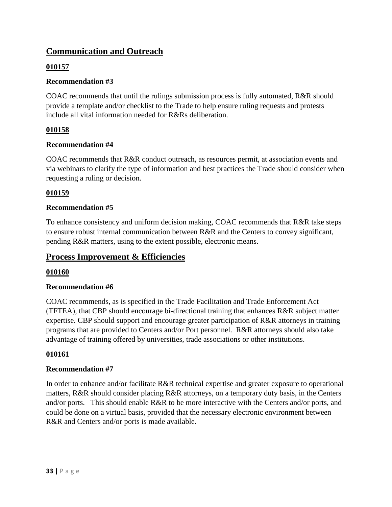# **Communication and Outreach**

## **010157**

### **Recommendation #3**

COAC recommends that until the rulings submission process is fully automated, R&R should provide a template and/or checklist to the Trade to help ensure ruling requests and protests include all vital information needed for R&Rs deliberation.

# **010158**

### **Recommendation #4**

COAC recommends that R&R conduct outreach, as resources permit, at association events and via webinars to clarify the type of information and best practices the Trade should consider when requesting a ruling or decision.

### **010159**

### **Recommendation #5**

To enhance consistency and uniform decision making, COAC recommends that R&R take steps to ensure robust internal communication between R&R and the Centers to convey significant, pending R&R matters, using to the extent possible, electronic means.

# **Process Improvement & Efficiencies**

### **010160**

### **Recommendation #6**

COAC recommends, as is specified in the Trade Facilitation and Trade Enforcement Act (TFTEA), that CBP should encourage bi-directional training that enhances R&R subject matter expertise. CBP should support and encourage greater participation of R&R attorneys in training programs that are provided to Centers and/or Port personnel. R&R attorneys should also take advantage of training offered by universities, trade associations or other institutions.

### **010161**

### **Recommendation #7**

In order to enhance and/or facilitate R&R technical expertise and greater exposure to operational matters, R&R should consider placing R&R attorneys, on a temporary duty basis, in the Centers and/or ports. This should enable R&R to be more interactive with the Centers and/or ports, and could be done on a virtual basis, provided that the necessary electronic environment between R&R and Centers and/or ports is made available.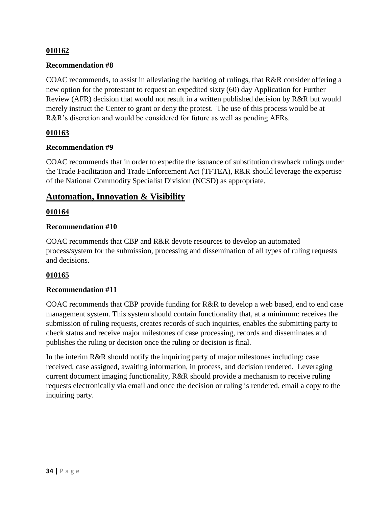### **Recommendation #8**

COAC recommends, to assist in alleviating the backlog of rulings, that R&R consider offering a new option for the protestant to request an expedited sixty (60) day Application for Further Review (AFR) decision that would not result in a written published decision by R&R but would merely instruct the Center to grant or deny the protest. The use of this process would be at R&R's discretion and would be considered for future as well as pending AFRs.

### **010163**

### **Recommendation #9**

COAC recommends that in order to expedite the issuance of substitution drawback rulings under the Trade Facilitation and Trade Enforcement Act (TFTEA), R&R should leverage the expertise of the National Commodity Specialist Division (NCSD) as appropriate.

# **Automation, Innovation & Visibility**

### **010164**

### **Recommendation #10**

COAC recommends that CBP and R&R devote resources to develop an automated process/system for the submission, processing and dissemination of all types of ruling requests and decisions.

### **010165**

### **Recommendation #11**

COAC recommends that CBP provide funding for R&R to develop a web based, end to end case management system. This system should contain functionality that, at a minimum: receives the submission of ruling requests, creates records of such inquiries, enables the submitting party to check status and receive major milestones of case processing, records and disseminates and publishes the ruling or decision once the ruling or decision is final.

In the interim R&R should notify the inquiring party of major milestones including: case received, case assigned, awaiting information, in process, and decision rendered. Leveraging current document imaging functionality, R&R should provide a mechanism to receive ruling requests electronically via email and once the decision or ruling is rendered, email a copy to the inquiring party.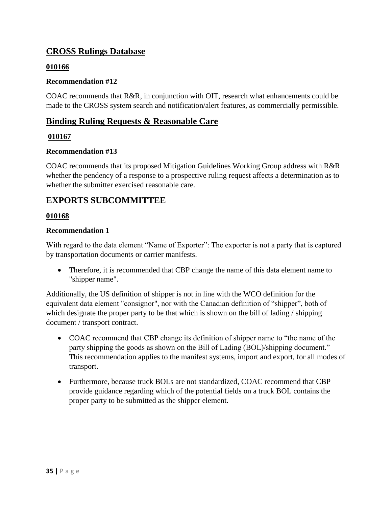# **CROSS Rulings Database**

## **010166**

### **Recommendation #12**

COAC recommends that R&R, in conjunction with OIT, research what enhancements could be made to the CROSS system search and notification/alert features, as commercially permissible.

# **Binding Ruling Requests & Reasonable Care**

### **010167**

### **Recommendation #13**

COAC recommends that its proposed Mitigation Guidelines Working Group address with R&R whether the pendency of a response to a prospective ruling request affects a determination as to whether the submitter exercised reasonable care.

# **EXPORTS SUBCOMMITTEE**

### **010168**

### **Recommendation 1**

With regard to the data element "Name of Exporter": The exporter is not a party that is captured by transportation documents or carrier manifests.

• Therefore, it is recommended that CBP change the name of this data element name to "shipper name".

Additionally, the US definition of shipper is not in line with the WCO definition for the equivalent data element "consignor", nor with the Canadian definition of "shipper", both of which designate the proper party to be that which is shown on the bill of lading / shipping document / transport contract.

- COAC recommend that CBP change its definition of shipper name to "the name of the party shipping the goods as shown on the Bill of Lading (BOL)/shipping document." This recommendation applies to the manifest systems, import and export, for all modes of transport.
- Furthermore, because truck BOLs are not standardized, COAC recommend that CBP provide guidance regarding which of the potential fields on a truck BOL contains the proper party to be submitted as the shipper element.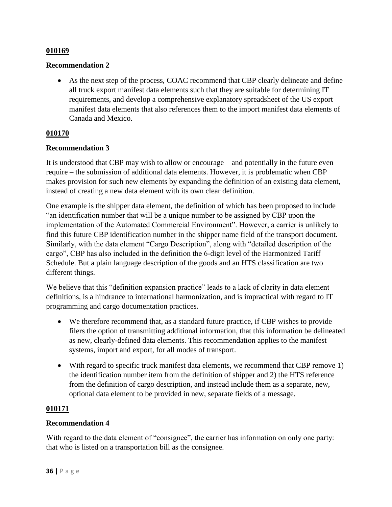### **Recommendation 2**

 As the next step of the process, COAC recommend that CBP clearly delineate and define all truck export manifest data elements such that they are suitable for determining IT requirements, and develop a comprehensive explanatory spreadsheet of the US export manifest data elements that also references them to the import manifest data elements of Canada and Mexico.

### **010170**

### **Recommendation 3**

It is understood that CBP may wish to allow or encourage – and potentially in the future even require – the submission of additional data elements. However, it is problematic when CBP makes provision for such new elements by expanding the definition of an existing data element, instead of creating a new data element with its own clear definition.

One example is the shipper data element, the definition of which has been proposed to include "an identification number that will be a unique number to be assigned by CBP upon the implementation of the Automated Commercial Environment". However, a carrier is unlikely to find this future CBP identification number in the shipper name field of the transport document. Similarly, with the data element "Cargo Description", along with "detailed description of the cargo", CBP has also included in the definition the 6-digit level of the Harmonized Tariff Schedule. But a plain language description of the goods and an HTS classification are two different things.

We believe that this "definition expansion practice" leads to a lack of clarity in data element definitions, is a hindrance to international harmonization, and is impractical with regard to IT programming and cargo documentation practices.

- We therefore recommend that, as a standard future practice, if CBP wishes to provide filers the option of transmitting additional information, that this information be delineated as new, clearly-defined data elements. This recommendation applies to the manifest systems, import and export, for all modes of transport.
- With regard to specific truck manifest data elements, we recommend that CBP remove 1) the identification number item from the definition of shipper and 2) the HTS reference from the definition of cargo description, and instead include them as a separate, new, optional data element to be provided in new, separate fields of a message.

### **010171**

### **Recommendation 4**

With regard to the data element of "consignee", the carrier has information on only one party: that who is listed on a transportation bill as the consignee.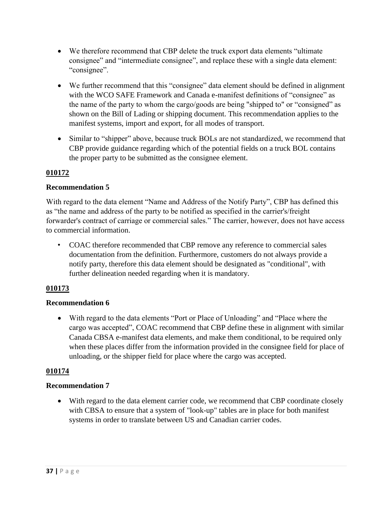- We therefore recommend that CBP delete the truck export data elements "ultimate consignee" and "intermediate consignee", and replace these with a single data element: "consignee".
- We further recommend that this "consignee" data element should be defined in alignment with the WCO SAFE Framework and Canada e-manifest definitions of "consignee" as the name of the party to whom the cargo/goods are being "shipped to" or "consigned" as shown on the Bill of Lading or shipping document. This recommendation applies to the manifest systems, import and export, for all modes of transport.
- Similar to "shipper" above, because truck BOLs are not standardized, we recommend that CBP provide guidance regarding which of the potential fields on a truck BOL contains the proper party to be submitted as the consignee element.

### **Recommendation 5**

With regard to the data element "Name and Address of the Notify Party", CBP has defined this as "the name and address of the party to be notified as specified in the carrier's/freight forwarder's contract of carriage or commercial sales." The carrier, however, does not have access to commercial information.

• COAC therefore recommended that CBP remove any reference to commercial sales documentation from the definition. Furthermore, customers do not always provide a notify party, therefore this data element should be designated as "conditional", with further delineation needed regarding when it is mandatory.

# **010173**

### **Recommendation 6**

 With regard to the data elements "Port or Place of Unloading" and "Place where the cargo was accepted", COAC recommend that CBP define these in alignment with similar Canada CBSA e-manifest data elements, and make them conditional, to be required only when these places differ from the information provided in the consignee field for place of unloading, or the shipper field for place where the cargo was accepted.

### **010174**

### **Recommendation 7**

 With regard to the data element carrier code, we recommend that CBP coordinate closely with CBSA to ensure that a system of "look-up" tables are in place for both manifest systems in order to translate between US and Canadian carrier codes.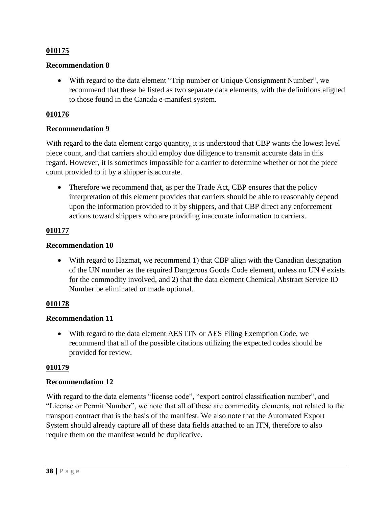### **Recommendation 8**

 With regard to the data element "Trip number or Unique Consignment Number", we recommend that these be listed as two separate data elements, with the definitions aligned to those found in the Canada e-manifest system.

### **010176**

### **Recommendation 9**

With regard to the data element cargo quantity, it is understood that CBP wants the lowest level piece count, and that carriers should employ due diligence to transmit accurate data in this regard. However, it is sometimes impossible for a carrier to determine whether or not the piece count provided to it by a shipper is accurate.

• Therefore we recommend that, as per the Trade Act, CBP ensures that the policy interpretation of this element provides that carriers should be able to reasonably depend upon the information provided to it by shippers, and that CBP direct any enforcement actions toward shippers who are providing inaccurate information to carriers.

### **010177**

### **Recommendation 10**

 With regard to Hazmat, we recommend 1) that CBP align with the Canadian designation of the UN number as the required Dangerous Goods Code element, unless no UN # exists for the commodity involved, and 2) that the data element Chemical Abstract Service ID Number be eliminated or made optional.

### **010178**

### **Recommendation 11**

 With regard to the data element AES ITN or AES Filing Exemption Code, we recommend that all of the possible citations utilizing the expected codes should be provided for review.

### **010179**

### **Recommendation 12**

With regard to the data elements "license code", "export control classification number", and "License or Permit Number", we note that all of these are commodity elements, not related to the transport contract that is the basis of the manifest. We also note that the Automated Export System should already capture all of these data fields attached to an ITN, therefore to also require them on the manifest would be duplicative.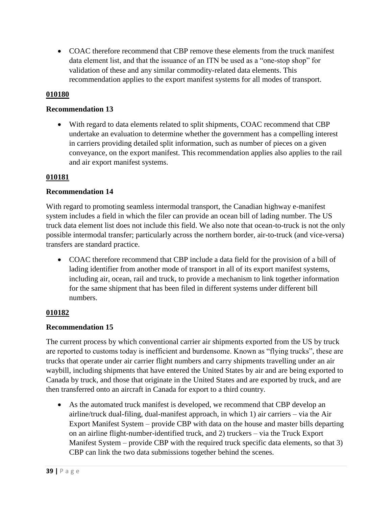COAC therefore recommend that CBP remove these elements from the truck manifest data element list, and that the issuance of an ITN be used as a "one-stop shop" for validation of these and any similar commodity-related data elements. This recommendation applies to the export manifest systems for all modes of transport.

### **010180**

### **Recommendation 13**

 With regard to data elements related to split shipments, COAC recommend that CBP undertake an evaluation to determine whether the government has a compelling interest in carriers providing detailed split information, such as number of pieces on a given conveyance, on the export manifest. This recommendation applies also applies to the rail and air export manifest systems.

### **010181**

### **Recommendation 14**

With regard to promoting seamless intermodal transport, the Canadian highway e-manifest system includes a field in which the filer can provide an ocean bill of lading number. The US truck data element list does not include this field. We also note that ocean-to-truck is not the only possible intermodal transfer; particularly across the northern border, air-to-truck (and vice-versa) transfers are standard practice.

• COAC therefore recommend that CBP include a data field for the provision of a bill of lading identifier from another mode of transport in all of its export manifest systems, including air, ocean, rail and truck, to provide a mechanism to link together information for the same shipment that has been filed in different systems under different bill numbers.

### **010182**

### **Recommendation 15**

The current process by which conventional carrier air shipments exported from the US by truck are reported to customs today is inefficient and burdensome. Known as "flying trucks", these are trucks that operate under air carrier flight numbers and carry shipments travelling under an air waybill, including shipments that have entered the United States by air and are being exported to Canada by truck, and those that originate in the United States and are exported by truck, and are then transferred onto an aircraft in Canada for export to a third country.

 As the automated truck manifest is developed, we recommend that CBP develop an airline/truck dual-filing, dual-manifest approach, in which 1) air carriers – via the Air Export Manifest System – provide CBP with data on the house and master bills departing on an airline flight-number-identified truck, and 2) truckers – via the Truck Export Manifest System – provide CBP with the required truck specific data elements, so that 3) CBP can link the two data submissions together behind the scenes.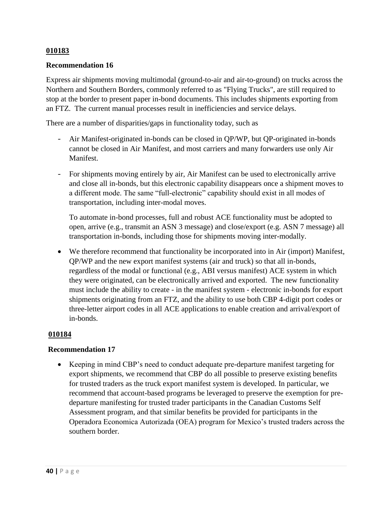### **Recommendation 16**

Express air shipments moving multimodal (ground-to-air and air-to-ground) on trucks across the Northern and Southern Borders, commonly referred to as "Flying Trucks", are still required to stop at the border to present paper in-bond documents. This includes shipments exporting from an FTZ. The current manual processes result in inefficiencies and service delays.

There are a number of disparities/gaps in functionality today, such as

- Air Manifest-originated in-bonds can be closed in QP/WP, but QP-originated in-bonds cannot be closed in Air Manifest, and most carriers and many forwarders use only Air **Manifest**
- For shipments moving entirely by air, Air Manifest can be used to electronically arrive and close all in-bonds, but this electronic capability disappears once a shipment moves to a different mode. The same "full-electronic" capability should exist in all modes of transportation, including inter-modal moves.

To automate in-bond processes, full and robust ACE functionality must be adopted to open, arrive (e.g., transmit an ASN 3 message) and close/export (e.g. ASN 7 message) all transportation in-bonds, including those for shipments moving inter-modally.

 We therefore recommend that functionality be incorporated into in Air (import) Manifest, QP/WP and the new export manifest systems (air and truck) so that all in-bonds, regardless of the modal or functional (e.g., ABI versus manifest) ACE system in which they were originated, can be electronically arrived and exported. The new functionality must include the ability to create - in the manifest system - electronic in-bonds for export shipments originating from an FTZ, and the ability to use both CBP 4-digit port codes or three-letter airport codes in all ACE applications to enable creation and arrival/export of in-bonds.

### **010184**

### **Recommendation 17**

 Keeping in mind CBP's need to conduct adequate pre-departure manifest targeting for export shipments, we recommend that CBP do all possible to preserve existing benefits for trusted traders as the truck export manifest system is developed. In particular, we recommend that account-based programs be leveraged to preserve the exemption for predeparture manifesting for trusted trader participants in the Canadian Customs Self Assessment program, and that similar benefits be provided for participants in the Operadora Economica Autorizada (OEA) program for Mexico's trusted traders across the southern border.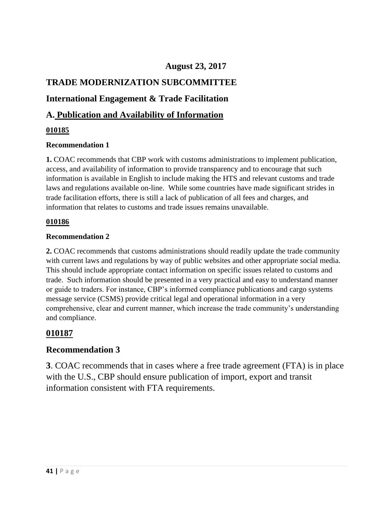# **August 23, 2017**

# **TRADE MODERNIZATION SUBCOMMITTEE**

# **International Engagement & Trade Facilitation**

# **A. Publication and Availability of Information**

### **010185**

### **Recommendation 1**

**1.** COAC recommends that CBP work with customs administrations to implement publication, access, and availability of information to provide transparency and to encourage that such information is available in English to include making the HTS and relevant customs and trade laws and regulations available on-line. While some countries have made significant strides in trade facilitation efforts, there is still a lack of publication of all fees and charges, and information that relates to customs and trade issues remains unavailable.

### **010186**

### **Recommendation 2**

**2.** COAC recommends that customs administrations should readily update the trade community with current laws and regulations by way of public websites and other appropriate social media. This should include appropriate contact information on specific issues related to customs and trade. Such information should be presented in a very practical and easy to understand manner or guide to traders. For instance, CBP's informed compliance publications and cargo systems message service (CSMS) provide critical legal and operational information in a very comprehensive, clear and current manner, which increase the trade community's understanding and compliance.

# **010187**

# **Recommendation 3**

**3**. COAC recommends that in cases where a free trade agreement (FTA) is in place with the U.S., CBP should ensure publication of import, export and transit information consistent with FTA requirements.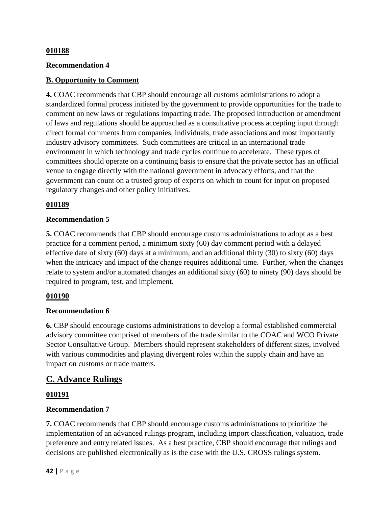### **Recommendation 4**

### **B. Opportunity to Comment**

**4.** COAC recommends that CBP should encourage all customs administrations to adopt a standardized formal process initiated by the government to provide opportunities for the trade to comment on new laws or regulations impacting trade. The proposed introduction or amendment of laws and regulations should be approached as a consultative process accepting input through direct formal comments from companies, individuals, trade associations and most importantly industry advisory committees. Such committees are critical in an international trade environment in which technology and trade cycles continue to accelerate. These types of committees should operate on a continuing basis to ensure that the private sector has an official venue to engage directly with the national government in advocacy efforts, and that the government can count on a trusted group of experts on which to count for input on proposed regulatory changes and other policy initiatives.

### **010189**

### **Recommendation 5**

**5.** COAC recommends that CBP should encourage customs administrations to adopt as a best practice for a comment period, a minimum sixty (60) day comment period with a delayed effective date of sixty (60) days at a minimum, and an additional thirty (30) to sixty (60) days when the intricacy and impact of the change requires additional time. Further, when the changes relate to system and/or automated changes an additional sixty (60) to ninety (90) days should be required to program, test, and implement.

### **010190**

### **Recommendation 6**

**6.** CBP should encourage customs administrations to develop a formal established commercial advisory committee comprised of members of the trade similar to the COAC and WCO Private Sector Consultative Group. Members should represent stakeholders of different sizes, involved with various commodities and playing divergent roles within the supply chain and have an impact on customs or trade matters.

# **C. Advance Rulings**

### **010191**

### **Recommendation 7**

**7.** COAC recommends that CBP should encourage customs administrations to prioritize the implementation of an advanced rulings program, including import classification, valuation, trade preference and entry related issues. As a best practice, CBP should encourage that rulings and decisions are published electronically as is the case with the U.S. CROSS rulings system.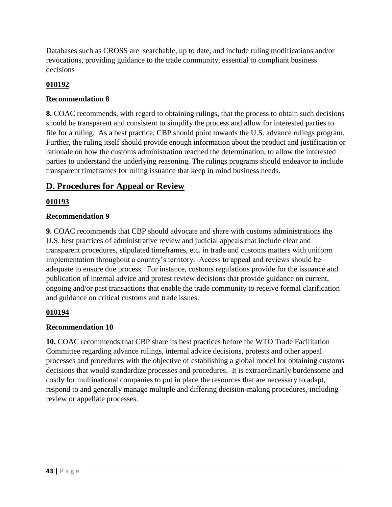Databases such as CROSS are searchable, up to date, and include ruling modifications and/or revocations, providing guidance to the trade community, essential to compliant business decisions

# **010192**

## **Recommendation 8**

**8.** COAC recommends, with regard to obtaining rulings, that the process to obtain such decisions should be transparent and consistent to simplify the process and allow for interested parties to file for a ruling. As a best practice, CBP should point towards the U.S. advance rulings program. Further, the ruling itself should provide enough information about the product and justification or rationale on how the customs administration reached the determination, to allow the interested parties to understand the underlying reasoning. The rulings programs should endeavor to include transparent timeframes for ruling issuance that keep in mind business needs.

# **D. Procedures for Appeal or Review**

### **010193**

### **Recommendation 9**

**9.** COAC recommends that CBP should advocate and share with customs administrations the U.S. best practices of administrative review and judicial appeals that include clear and transparent procedures, stipulated timeframes, etc. in trade and customs matters with uniform implementation throughout a country's territory. Access to appeal and reviews should be adequate to ensure due process. For instance, customs regulations provide for the issuance and publication of internal advice and protest review decisions that provide guidance on current, ongoing and/or past transactions that enable the trade community to receive formal clarification and guidance on critical customs and trade issues.

### **010194**

### **Recommendation 10**

**10.** COAC recommends that CBP share its best practices before the WTO Trade Facilitation Committee regarding advance rulings, internal advice decisions, protests and other appeal processes and procedures with the objective of establishing a global model for obtaining customs decisions that would standardize processes and procedures. It is extraordinarily burdensome and costly for multinational companies to put in place the resources that are necessary to adapt, respond to and generally manage multiple and differing decision-making procedures, including review or appellate processes.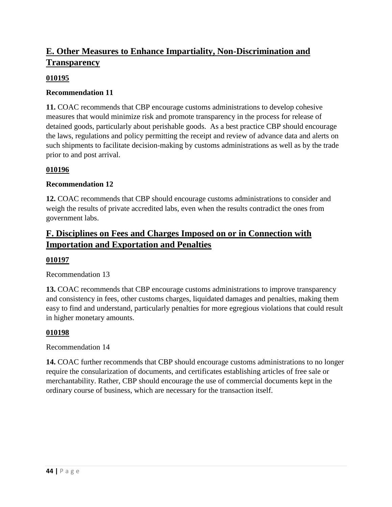# **E. Other Measures to Enhance Impartiality, Non-Discrimination and Transparency**

### **010195**

### **Recommendation 11**

**11.** COAC recommends that CBP encourage customs administrations to develop cohesive measures that would minimize risk and promote transparency in the process for release of detained goods, particularly about perishable goods. As a best practice CBP should encourage the laws, regulations and policy permitting the receipt and review of advance data and alerts on such shipments to facilitate decision-making by customs administrations as well as by the trade prior to and post arrival.

### **010196**

### **Recommendation 12**

**12.** COAC recommends that CBP should encourage customs administrations to consider and weigh the results of private accredited labs, even when the results contradict the ones from government labs.

# **F. Disciplines on Fees and Charges Imposed on or in Connection with Importation and Exportation and Penalties**

### **010197**

Recommendation 13

**13.** COAC recommends that CBP encourage customs administrations to improve transparency and consistency in fees, other customs charges, liquidated damages and penalties, making them easy to find and understand, particularly penalties for more egregious violations that could result in higher monetary amounts.

### **010198**

Recommendation 14

**14.** COAC further recommends that CBP should encourage customs administrations to no longer require the consularization of documents, and certificates establishing articles of free sale or merchantability. Rather, CBP should encourage the use of commercial documents kept in the ordinary course of business, which are necessary for the transaction itself.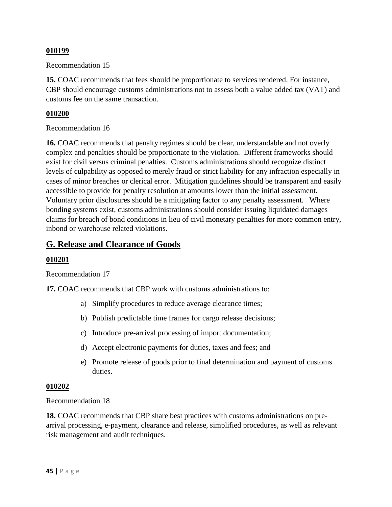Recommendation 15

**15.** COAC recommends that fees should be proportionate to services rendered. For instance, CBP should encourage customs administrations not to assess both a value added tax (VAT) and customs fee on the same transaction.

### **010200**

### Recommendation 16

**16.** COAC recommends that penalty regimes should be clear, understandable and not overly complex and penalties should be proportionate to the violation. Different frameworks should exist for civil versus criminal penalties. Customs administrations should recognize distinct levels of culpability as opposed to merely fraud or strict liability for any infraction especially in cases of minor breaches or clerical error. Mitigation guidelines should be transparent and easily accessible to provide for penalty resolution at amounts lower than the initial assessment. Voluntary prior disclosures should be a mitigating factor to any penalty assessment. Where bonding systems exist, customs administrations should consider issuing liquidated damages claims for breach of bond conditions in lieu of civil monetary penalties for more common entry, inbond or warehouse related violations.

# **G. Release and Clearance of Goods**

### **010201**

Recommendation 17

**17.** COAC recommends that CBP work with customs administrations to:

- a) Simplify procedures to reduce average clearance times;
- b) Publish predictable time frames for cargo release decisions;
- c) Introduce pre-arrival processing of import documentation;
- d) Accept electronic payments for duties, taxes and fees; and
- e) Promote release of goods prior to final determination and payment of customs duties.

### **010202**

Recommendation 18

**18.** COAC recommends that CBP share best practices with customs administrations on prearrival processing, e-payment, clearance and release, simplified procedures, as well as relevant risk management and audit techniques.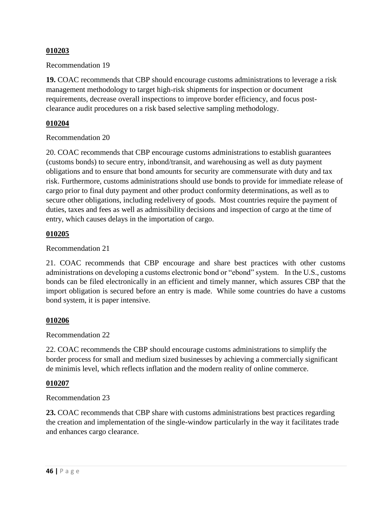Recommendation 19

**19.** COAC recommends that CBP should encourage customs administrations to leverage a risk management methodology to target high-risk shipments for inspection or document requirements, decrease overall inspections to improve border efficiency, and focus postclearance audit procedures on a risk based selective sampling methodology.

### **010204**

### Recommendation 20

20. COAC recommends that CBP encourage customs administrations to establish guarantees (customs bonds) to secure entry, inbond/transit, and warehousing as well as duty payment obligations and to ensure that bond amounts for security are commensurate with duty and tax risk. Furthermore, customs administrations should use bonds to provide for immediate release of cargo prior to final duty payment and other product conformity determinations, as well as to secure other obligations, including redelivery of goods. Most countries require the payment of duties, taxes and fees as well as admissibility decisions and inspection of cargo at the time of entry, which causes delays in the importation of cargo.

### **010205**

Recommendation 21

21. COAC recommends that CBP encourage and share best practices with other customs administrations on developing a customs electronic bond or "ebond" system. In the U.S., customs bonds can be filed electronically in an efficient and timely manner, which assures CBP that the import obligation is secured before an entry is made. While some countries do have a customs bond system, it is paper intensive.

### **010206**

Recommendation 22

22. COAC recommends the CBP should encourage customs administrations to simplify the border process for small and medium sized businesses by achieving a commercially significant de minimis level, which reflects inflation and the modern reality of online commerce.

### **010207**

### Recommendation 23

**23.** COAC recommends that CBP share with customs administrations best practices regarding the creation and implementation of the single-window particularly in the way it facilitates trade and enhances cargo clearance.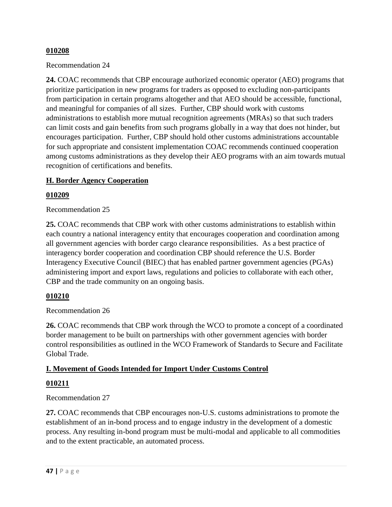Recommendation 24

**24.** COAC recommends that CBP encourage authorized economic operator (AEO) programs that prioritize participation in new programs for traders as opposed to excluding non-participants from participation in certain programs altogether and that AEO should be accessible, functional, and meaningful for companies of all sizes. Further, CBP should work with customs administrations to establish more mutual recognition agreements (MRAs) so that such traders can limit costs and gain benefits from such programs globally in a way that does not hinder, but encourages participation. Further, CBP should hold other customs administrations accountable for such appropriate and consistent implementation COAC recommends continued cooperation among customs administrations as they develop their AEO programs with an aim towards mutual recognition of certifications and benefits.

### **H. Border Agency Cooperation**

### **010209**

Recommendation 25

**25.** COAC recommends that CBP work with other customs administrations to establish within each country a national interagency entity that encourages cooperation and coordination among all government agencies with border cargo clearance responsibilities. As a best practice of interagency border cooperation and coordination CBP should reference the U.S. Border Interagency Executive Council (BIEC) that has enabled partner government agencies (PGAs) administering import and export laws, regulations and policies to collaborate with each other, CBP and the trade community on an ongoing basis.

### **010210**

Recommendation 26

**26.** COAC recommends that CBP work through the WCO to promote a concept of a coordinated border management to be built on partnerships with other government agencies with border control responsibilities as outlined in the WCO Framework of Standards to Secure and Facilitate Global Trade.

### **I. Movement of Goods Intended for Import Under Customs Control**

### **010211**

### Recommendation 27

**27.** COAC recommends that CBP encourages non-U.S. customs administrations to promote the establishment of an in-bond process and to engage industry in the development of a domestic process. Any resulting in-bond program must be multi-modal and applicable to all commodities and to the extent practicable, an automated process.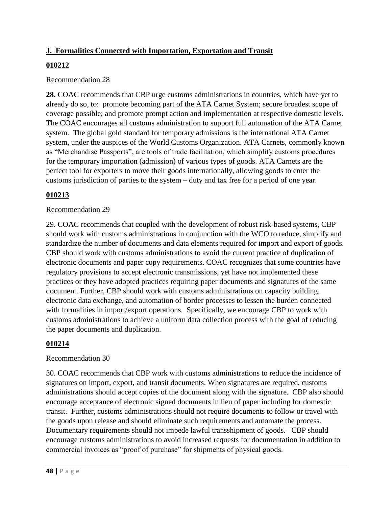# **J. Formalities Connected with Importation, Exportation and Transit**

# **010212**

### Recommendation 28

**28.** COAC recommends that CBP urge customs administrations in countries, which have yet to already do so, to: promote becoming part of the ATA Carnet System; secure broadest scope of coverage possible; and promote prompt action and implementation at respective domestic levels. The COAC encourages all customs administration to support full automation of the ATA Carnet system. The global gold standard for temporary admissions is the international ATA Carnet system, under the auspices of the World Customs Organization. ATA Carnets, commonly known as "Merchandise Passports", are tools of trade facilitation, which simplify customs procedures for the temporary importation (admission) of various types of goods. ATA Carnets are the perfect tool for exporters to move their goods internationally, allowing goods to enter the customs jurisdiction of parties to the system – duty and tax free for a period of one year.

# **010213**

### Recommendation 29

29. COAC recommends that coupled with the development of robust risk-based systems, CBP should work with customs administrations in conjunction with the WCO to reduce, simplify and standardize the number of documents and data elements required for import and export of goods. CBP should work with customs administrations to avoid the current practice of duplication of electronic documents and paper copy requirements. COAC recognizes that some countries have regulatory provisions to accept electronic transmissions, yet have not implemented these practices or they have adopted practices requiring paper documents and signatures of the same document. Further, CBP should work with customs administrations on capacity building, electronic data exchange, and automation of border processes to lessen the burden connected with formalities in import/export operations. Specifically, we encourage CBP to work with customs administrations to achieve a uniform data collection process with the goal of reducing the paper documents and duplication.

# **010214**

### Recommendation 30

30. COAC recommends that CBP work with customs administrations to reduce the incidence of signatures on import, export, and transit documents. When signatures are required, customs administrations should accept copies of the document along with the signature. CBP also should encourage acceptance of electronic signed documents in lieu of paper including for domestic transit. Further, customs administrations should not require documents to follow or travel with the goods upon release and should eliminate such requirements and automate the process. Documentary requirements should not impede lawful transshipment of goods. CBP should encourage customs administrations to avoid increased requests for documentation in addition to commercial invoices as "proof of purchase" for shipments of physical goods.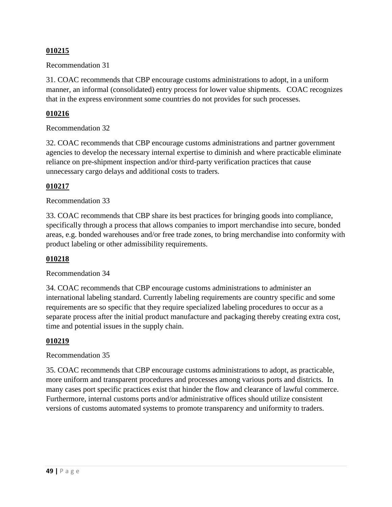Recommendation 31

31. COAC recommends that CBP encourage customs administrations to adopt, in a uniform manner, an informal (consolidated) entry process for lower value shipments. COAC recognizes that in the express environment some countries do not provides for such processes.

### **010216**

Recommendation 32

32. COAC recommends that CBP encourage customs administrations and partner government agencies to develop the necessary internal expertise to diminish and where practicable eliminate reliance on pre-shipment inspection and/or third-party verification practices that cause unnecessary cargo delays and additional costs to traders.

### **010217**

### Recommendation 33

33. COAC recommends that CBP share its best practices for bringing goods into compliance, specifically through a process that allows companies to import merchandise into secure, bonded areas, e.g. bonded warehouses and/or free trade zones, to bring merchandise into conformity with product labeling or other admissibility requirements.

### **010218**

Recommendation 34

34. COAC recommends that CBP encourage customs administrations to administer an international labeling standard. Currently labeling requirements are country specific and some requirements are so specific that they require specialized labeling procedures to occur as a separate process after the initial product manufacture and packaging thereby creating extra cost, time and potential issues in the supply chain.

### **010219**

### Recommendation 35

35. COAC recommends that CBP encourage customs administrations to adopt, as practicable, more uniform and transparent procedures and processes among various ports and districts. In many cases port specific practices exist that hinder the flow and clearance of lawful commerce. Furthermore, internal customs ports and/or administrative offices should utilize consistent versions of customs automated systems to promote transparency and uniformity to traders.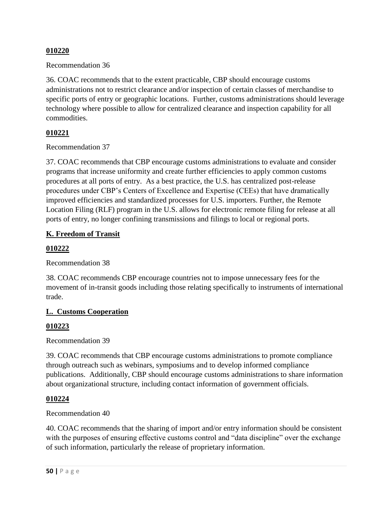### Recommendation 36

36. COAC recommends that to the extent practicable, CBP should encourage customs administrations not to restrict clearance and/or inspection of certain classes of merchandise to specific ports of entry or geographic locations. Further, customs administrations should leverage technology where possible to allow for centralized clearance and inspection capability for all commodities.

### **010221**

### Recommendation 37

37. COAC recommends that CBP encourage customs administrations to evaluate and consider programs that increase uniformity and create further efficiencies to apply common customs procedures at all ports of entry. As a best practice, the U.S. has centralized post-release procedures under CBP's Centers of Excellence and Expertise (CEEs) that have dramatically improved efficiencies and standardized processes for U.S. importers. Further, the Remote Location Filing (RLF) program in the U.S. allows for electronic remote filing for release at all ports of entry, no longer confining transmissions and filings to local or regional ports.

### **K. Freedom of Transit**

### **010222**

### Recommendation 38

38. COAC recommends CBP encourage countries not to impose unnecessary fees for the movement of in-transit goods including those relating specifically to instruments of international trade.

### **L. Customs Cooperation**

### **010223**

Recommendation 39

39. COAC recommends that CBP encourage customs administrations to promote compliance through outreach such as webinars, symposiums and to develop informed compliance publications. Additionally, CBP should encourage customs administrations to share information about organizational structure, including contact information of government officials.

### **010224**

### Recommendation 40

40. COAC recommends that the sharing of import and/or entry information should be consistent with the purposes of ensuring effective customs control and "data discipline" over the exchange of such information, particularly the release of proprietary information.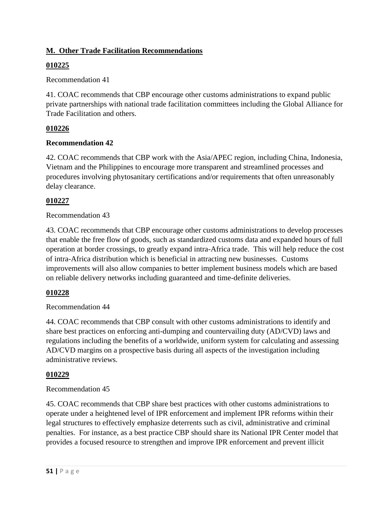# **M. Other Trade Facilitation Recommendations**

# **010225**

Recommendation 41

41. COAC recommends that CBP encourage other customs administrations to expand public private partnerships with national trade facilitation committees including the Global Alliance for Trade Facilitation and others.

# **010226**

# **Recommendation 42**

42. COAC recommends that CBP work with the Asia/APEC region, including China, Indonesia, Vietnam and the Philippines to encourage more transparent and streamlined processes and procedures involving phytosanitary certifications and/or requirements that often unreasonably delay clearance.

# **010227**

# Recommendation 43

43. COAC recommends that CBP encourage other customs administrations to develop processes that enable the free flow of goods, such as standardized customs data and expanded hours of full operation at border crossings, to greatly expand intra-Africa trade. This will help reduce the cost of intra-Africa distribution which is beneficial in attracting new businesses. Customs improvements will also allow companies to better implement business models which are based on reliable delivery networks including guaranteed and time-definite deliveries.

# **010228**

# Recommendation 44

44. COAC recommends that CBP consult with other customs administrations to identify and share best practices on enforcing anti-dumping and countervailing duty (AD/CVD) laws and regulations including the benefits of a worldwide, uniform system for calculating and assessing AD/CVD margins on a prospective basis during all aspects of the investigation including administrative reviews.

# **010229**

# Recommendation 45

45. COAC recommends that CBP share best practices with other customs administrations to operate under a heightened level of IPR enforcement and implement IPR reforms within their legal structures to effectively emphasize deterrents such as civil, administrative and criminal penalties. For instance, as a best practice CBP should share its National IPR Center model that provides a focused resource to strengthen and improve IPR enforcement and prevent illicit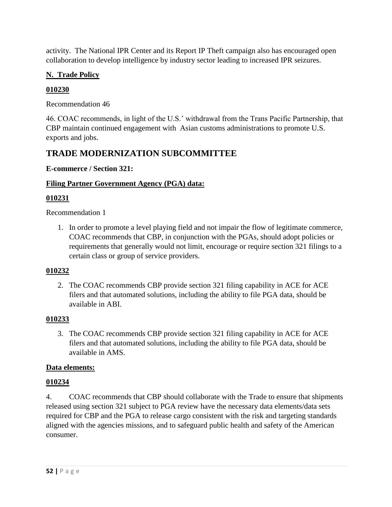activity. The National IPR Center and its Report IP Theft campaign also has encouraged open collaboration to develop intelligence by industry sector leading to increased IPR seizures.

# **N. Trade Policy**

# **010230**

Recommendation 46

46. COAC recommends, in light of the U.S.' withdrawal from the Trans Pacific Partnership, that CBP maintain continued engagement with Asian customs administrations to promote U.S. exports and jobs.

# **TRADE MODERNIZATION SUBCOMMITTEE**

**E-commerce / Section 321:**

# **Filing Partner Government Agency (PGA) data:**

# **010231**

Recommendation 1

1. In order to promote a level playing field and not impair the flow of legitimate commerce, COAC recommends that CBP, in conjunction with the PGAs, should adopt policies or requirements that generally would not limit, encourage or require section 321 filings to a certain class or group of service providers.

# **010232**

2. The COAC recommends CBP provide section 321 filing capability in ACE for ACE filers and that automated solutions, including the ability to file PGA data, should be available in ABI.

# **010233**

3. The COAC recommends CBP provide section 321 filing capability in ACE for ACE filers and that automated solutions, including the ability to file PGA data, should be available in AMS.

# **Data elements:**

# **010234**

4. COAC recommends that CBP should collaborate with the Trade to ensure that shipments released using section 321 subject to PGA review have the necessary data elements/data sets required for CBP and the PGA to release cargo consistent with the risk and targeting standards aligned with the agencies missions, and to safeguard public health and safety of the American consumer.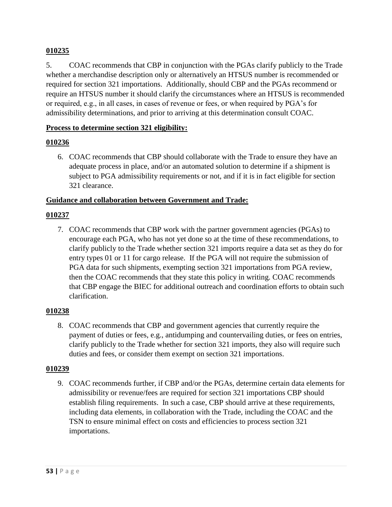5. COAC recommends that CBP in conjunction with the PGAs clarify publicly to the Trade whether a merchandise description only or alternatively an HTSUS number is recommended or required for section 321 importations. Additionally, should CBP and the PGAs recommend or require an HTSUS number it should clarify the circumstances where an HTSUS is recommended or required, e.g., in all cases, in cases of revenue or fees, or when required by PGA's for admissibility determinations, and prior to arriving at this determination consult COAC.

### **Process to determine section 321 eligibility:**

### **010236**

6. COAC recommends that CBP should collaborate with the Trade to ensure they have an adequate process in place, and/or an automated solution to determine if a shipment is subject to PGA admissibility requirements or not, and if it is in fact eligible for section 321 clearance.

### **Guidance and collaboration between Government and Trade:**

### **010237**

7. COAC recommends that CBP work with the partner government agencies (PGAs) to encourage each PGA, who has not yet done so at the time of these recommendations, to clarify publicly to the Trade whether section 321 imports require a data set as they do for entry types 01 or 11 for cargo release. If the PGA will not require the submission of PGA data for such shipments, exempting section 321 importations from PGA review, then the COAC recommends that they state this policy in writing. COAC recommends that CBP engage the BIEC for additional outreach and coordination efforts to obtain such clarification.

### **010238**

8. COAC recommends that CBP and government agencies that currently require the payment of duties or fees, e.g., antidumping and countervailing duties, or fees on entries, clarify publicly to the Trade whether for section 321 imports, they also will require such duties and fees, or consider them exempt on section 321 importations.

### **010239**

9. COAC recommends further, if CBP and/or the PGAs, determine certain data elements for admissibility or revenue/fees are required for section 321 importations CBP should establish filing requirements. In such a case, CBP should arrive at these requirements, including data elements, in collaboration with the Trade, including the COAC and the TSN to ensure minimal effect on costs and efficiencies to process section 321 importations.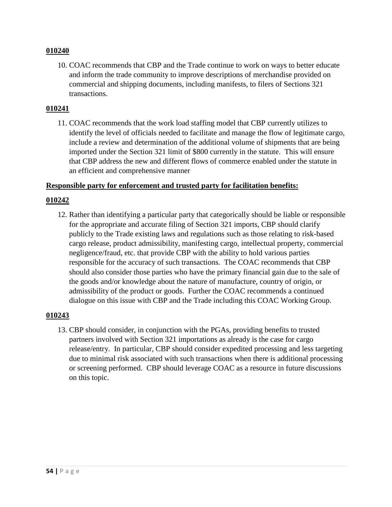10. COAC recommends that CBP and the Trade continue to work on ways to better educate and inform the trade community to improve descriptions of merchandise provided on commercial and shipping documents, including manifests, to filers of Sections 321 transactions.

### **010241**

11. COAC recommends that the work load staffing model that CBP currently utilizes to identify the level of officials needed to facilitate and manage the flow of legitimate cargo, include a review and determination of the additional volume of shipments that are being imported under the Section 321 limit of \$800 currently in the statute. This will ensure that CBP address the new and different flows of commerce enabled under the statute in an efficient and comprehensive manner

### **Responsible party for enforcement and trusted party for facilitation benefits:**

### **010242**

12. Rather than identifying a particular party that categorically should be liable or responsible for the appropriate and accurate filing of Section 321 imports, CBP should clarify publicly to the Trade existing laws and regulations such as those relating to risk-based cargo release, product admissibility, manifesting cargo, intellectual property, commercial negligence/fraud, etc. that provide CBP with the ability to hold various parties responsible for the accuracy of such transactions. The COAC recommends that CBP should also consider those parties who have the primary financial gain due to the sale of the goods and/or knowledge about the nature of manufacture, country of origin, or admissibility of the product or goods. Further the COAC recommends a continued dialogue on this issue with CBP and the Trade including this COAC Working Group.

### **010243**

13. CBP should consider, in conjunction with the PGAs, providing benefits to trusted partners involved with Section 321 importations as already is the case for cargo release/entry. In particular, CBP should consider expedited processing and less targeting due to minimal risk associated with such transactions when there is additional processing or screening performed. CBP should leverage COAC as a resource in future discussions on this topic.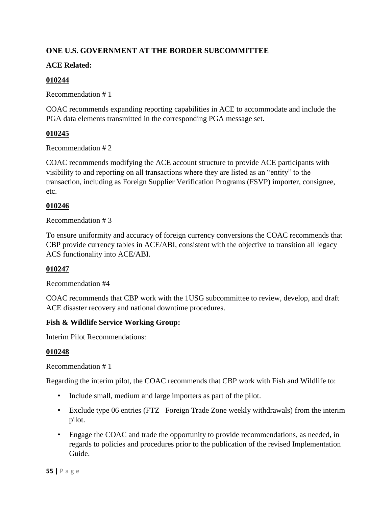# **ONE U.S. GOVERNMENT AT THE BORDER SUBCOMMITTEE**

## **ACE Related:**

### **010244**

Recommendation # 1

COAC recommends expanding reporting capabilities in ACE to accommodate and include the PGA data elements transmitted in the corresponding PGA message set.

### **010245**

Recommendation # 2

COAC recommends modifying the ACE account structure to provide ACE participants with visibility to and reporting on all transactions where they are listed as an "entity" to the transaction, including as Foreign Supplier Verification Programs (FSVP) importer, consignee, etc.

# **010246**

Recommendation # 3

To ensure uniformity and accuracy of foreign currency conversions the COAC recommends that CBP provide currency tables in ACE/ABI, consistent with the objective to transition all legacy ACS functionality into ACE/ABI.

# **010247**

Recommendation #4

COAC recommends that CBP work with the 1USG subcommittee to review, develop, and draft ACE disaster recovery and national downtime procedures.

### **Fish & Wildlife Service Working Group:**

Interim Pilot Recommendations:

# **010248**

Recommendation # 1

Regarding the interim pilot, the COAC recommends that CBP work with Fish and Wildlife to:

- Include small, medium and large importers as part of the pilot.
- Exclude type 06 entries (FTZ –Foreign Trade Zone weekly withdrawals) from the interim pilot.
- Engage the COAC and trade the opportunity to provide recommendations, as needed, in regards to policies and procedures prior to the publication of the revised Implementation Guide.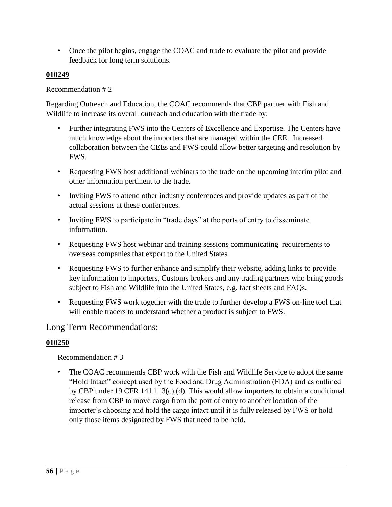• Once the pilot begins, engage the COAC and trade to evaluate the pilot and provide feedback for long term solutions.

### **010249**

### Recommendation # 2

Regarding Outreach and Education, the COAC recommends that CBP partner with Fish and Wildlife to increase its overall outreach and education with the trade by:

- Further integrating FWS into the Centers of Excellence and Expertise. The Centers have much knowledge about the importers that are managed within the CEE. Increased collaboration between the CEEs and FWS could allow better targeting and resolution by FWS.
- Requesting FWS host additional webinars to the trade on the upcoming interim pilot and other information pertinent to the trade.
- Inviting FWS to attend other industry conferences and provide updates as part of the actual sessions at these conferences.
- Inviting FWS to participate in "trade days" at the ports of entry to disseminate information.
- Requesting FWS host webinar and training sessions communicating requirements to overseas companies that export to the United States
- Requesting FWS to further enhance and simplify their website, adding links to provide key information to importers, Customs brokers and any trading partners who bring goods subject to Fish and Wildlife into the United States, e.g. fact sheets and FAQs.
- Requesting FWS work together with the trade to further develop a FWS on-line tool that will enable traders to understand whether a product is subject to FWS.

# Long Term Recommendations:

# **010250**

Recommendation # 3

The COAC recommends CBP work with the Fish and Wildlife Service to adopt the same "Hold Intact" concept used by the Food and Drug Administration (FDA) and as outlined by CBP under 19 CFR 141.113(c),(d). This would allow importers to obtain a conditional release from CBP to move cargo from the port of entry to another location of the importer's choosing and hold the cargo intact until it is fully released by FWS or hold only those items designated by FWS that need to be held.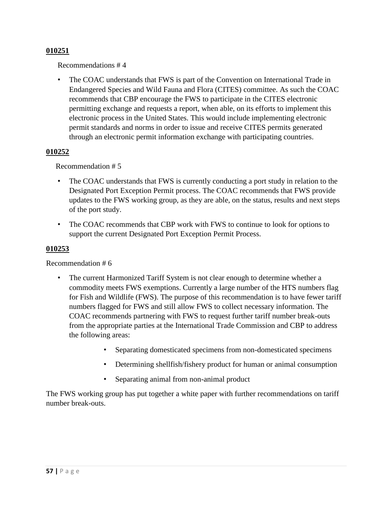Recommendations # 4

The COAC understands that FWS is part of the Convention on International Trade in Endangered Species and Wild Fauna and Flora (CITES) committee. As such the COAC recommends that CBP encourage the FWS to participate in the CITES electronic permitting exchange and requests a report, when able, on its efforts to implement this electronic process in the United States. This would include implementing electronic permit standards and norms in order to issue and receive CITES permits generated through an electronic permit information exchange with participating countries.

### **010252**

Recommendation # 5

- The COAC understands that FWS is currently conducting a port study in relation to the Designated Port Exception Permit process. The COAC recommends that FWS provide updates to the FWS working group, as they are able, on the status, results and next steps of the port study.
- The COAC recommends that CBP work with FWS to continue to look for options to support the current Designated Port Exception Permit Process.

### **010253**

Recommendation # 6

- The current Harmonized Tariff System is not clear enough to determine whether a commodity meets FWS exemptions. Currently a large number of the HTS numbers flag for Fish and Wildlife (FWS). The purpose of this recommendation is to have fewer tariff numbers flagged for FWS and still allow FWS to collect necessary information. The COAC recommends partnering with FWS to request further tariff number break-outs from the appropriate parties at the International Trade Commission and CBP to address the following areas:
	- Separating domesticated specimens from non-domesticated specimens
	- Determining shellfish/fishery product for human or animal consumption
	- Separating animal from non-animal product

The FWS working group has put together a white paper with further recommendations on tariff number break-outs.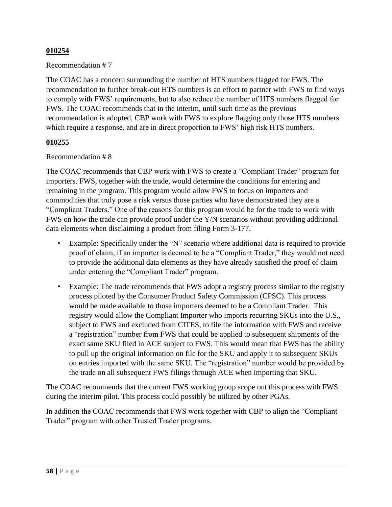### Recommendation # 7

The COAC has a concern surrounding the number of HTS numbers flagged for FWS. The recommendation to further break-out HTS numbers is an effort to partner with FWS to find ways to comply with FWS' requirements, but to also reduce the number of HTS numbers flagged for FWS. The COAC recommends that in the interim, until such time as the previous recommendation is adopted, CBP work with FWS to explore flagging only those HTS numbers which require a response, and are in direct proportion to FWS' high risk HTS numbers.

### **010255**

### Recommendation # 8

The COAC recommends that CBP work with FWS to create a "Compliant Trader" program for importers. FWS, together with the trade, would determine the conditions for entering and remaining in the program. This program would allow FWS to focus on importers and commodities that truly pose a risk versus those parties who have demonstrated they are a "Compliant Traders." One of the reasons for this program would be for the trade to work with FWS on how the trade can provide proof under the Y/N scenarios without providing additional data elements when disclaiming a product from filing Form 3-177.

- Example: Specifically under the "N" scenario where additional data is required to provide proof of claim, if an importer is deemed to be a "Compliant Trader," they would not need to provide the additional data elements as they have already satisfied the proof of claim under entering the "Compliant Trader" program.
- Example: The trade recommends that FWS adopt a registry process similar to the registry process piloted by the Consumer Product Safety Commission (CPSC). This process would be made available to those importers deemed to be a Compliant Trader. This registry would allow the Compliant Importer who imports recurring SKUs into the U.S., subject to FWS and excluded from CITES, to file the information with FWS and receive a "registration" number from FWS that could be applied to subsequent shipments of the exact same SKU filed in ACE subject to FWS. This would mean that FWS has the ability to pull up the original information on file for the SKU and apply it to subsequent SKUs on entries imported with the same SKU. The "registration" number would be provided by the trade on all subsequent FWS filings through ACE when importing that SKU.

The COAC recommends that the current FWS working group scope out this process with FWS during the interim pilot. This process could possibly be utilized by other PGAs.

In addition the COAC recommends that FWS work together with CBP to align the "Compliant Trader" program with other Trusted Trader programs.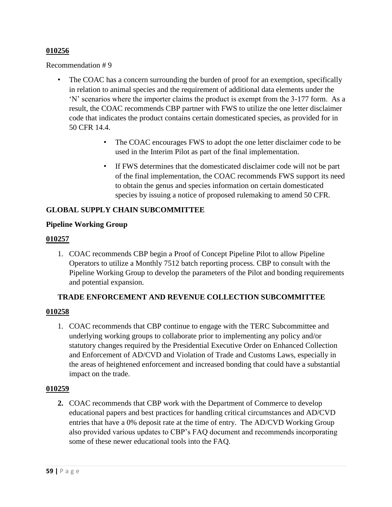Recommendation # 9

- The COAC has a concern surrounding the burden of proof for an exemption, specifically in relation to animal species and the requirement of additional data elements under the 'N' scenarios where the importer claims the product is exempt from the 3-177 form. As a result, the COAC recommends CBP partner with FWS to utilize the one letter disclaimer code that indicates the product contains certain domesticated species, as provided for in 50 CFR 14.4.
	- The COAC encourages FWS to adopt the one letter disclaimer code to be used in the Interim Pilot as part of the final implementation.
	- If FWS determines that the domesticated disclaimer code will not be part of the final implementation, the COAC recommends FWS support its need to obtain the genus and species information on certain domesticated species by issuing a notice of proposed rulemaking to amend 50 CFR.

### **GLOBAL SUPPLY CHAIN SUBCOMMITTEE**

### **Pipeline Working Group**

### **010257**

1. COAC recommends CBP begin a Proof of Concept Pipeline Pilot to allow Pipeline Operators to utilize a Monthly 7512 batch reporting process. CBP to consult with the Pipeline Working Group to develop the parameters of the Pilot and bonding requirements and potential expansion.

### **TRADE ENFORCEMENT AND REVENUE COLLECTION SUBCOMMITTEE**

### **010258**

1. COAC recommends that CBP continue to engage with the TERC Subcommittee and underlying working groups to collaborate prior to implementing any policy and/or statutory changes required by the Presidential Executive Order on Enhanced Collection and Enforcement of AD/CVD and Violation of Trade and Customs Laws, especially in the areas of heightened enforcement and increased bonding that could have a substantial impact on the trade.

### **010259**

**2.** COAC recommends that CBP work with the Department of Commerce to develop educational papers and best practices for handling critical circumstances and AD/CVD entries that have a 0% deposit rate at the time of entry. The AD/CVD Working Group also provided various updates to CBP's FAQ document and recommends incorporating some of these newer educational tools into the FAQ.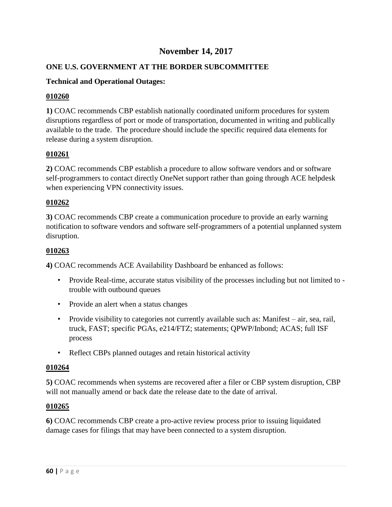# **November 14, 2017**

# **ONE U.S. GOVERNMENT AT THE BORDER SUBCOMMITTEE**

# **Technical and Operational Outages:**

### **010260**

**1)** COAC recommends CBP establish nationally coordinated uniform procedures for system disruptions regardless of port or mode of transportation, documented in writing and publically available to the trade. The procedure should include the specific required data elements for release during a system disruption.

### **010261**

**2)** COAC recommends CBP establish a procedure to allow software vendors and or software self-programmers to contact directly OneNet support rather than going through ACE helpdesk when experiencing VPN connectivity issues.

### **010262**

**3)** COAC recommends CBP create a communication procedure to provide an early warning notification to software vendors and software self-programmers of a potential unplanned system disruption.

### **010263**

**4)** COAC recommends ACE Availability Dashboard be enhanced as follows:

- Provide Real-time, accurate status visibility of the processes including but not limited to trouble with outbound queues
- Provide an alert when a status changes
- Provide visibility to categories not currently available such as: Manifest air, sea, rail, truck, FAST; specific PGAs, e214/FTZ; statements; QPWP/Inbond; ACAS; full ISF process
- Reflect CBPs planned outages and retain historical activity

### **010264**

**5)** COAC recommends when systems are recovered after a filer or CBP system disruption, CBP will not manually amend or back date the release date to the date of arrival.

### **010265**

**6)** COAC recommends CBP create a pro-active review process prior to issuing liquidated damage cases for filings that may have been connected to a system disruption.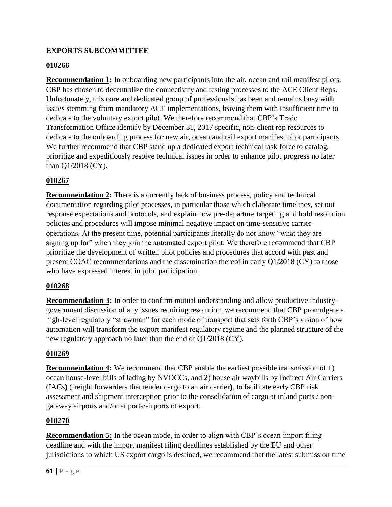# **EXPORTS SUBCOMMITTEE**

# **010266**

**Recommendation 1:** In onboarding new participants into the air, ocean and rail manifest pilots, CBP has chosen to decentralize the connectivity and testing processes to the ACE Client Reps. Unfortunately, this core and dedicated group of professionals has been and remains busy with issues stemming from mandatory ACE implementations, leaving them with insufficient time to dedicate to the voluntary export pilot. We therefore recommend that CBP's Trade Transformation Office identify by December 31, 2017 specific, non-client rep resources to dedicate to the onboarding process for new air, ocean and rail export manifest pilot participants. We further recommend that CBP stand up a dedicated export technical task force to catalog, prioritize and expeditiously resolve technical issues in order to enhance pilot progress no later than Q1/2018 (CY).

# **010267**

**Recommendation 2:** There is a currently lack of business process, policy and technical documentation regarding pilot processes, in particular those which elaborate timelines, set out response expectations and protocols, and explain how pre-departure targeting and hold resolution policies and procedures will impose minimal negative impact on time-sensitive carrier operations. At the present time, potential participants literally do not know "what they are signing up for" when they join the automated export pilot. We therefore recommend that CBP prioritize the development of written pilot policies and procedures that accord with past and present COAC recommendations and the dissemination thereof in early Q1/2018 (CY) to those who have expressed interest in pilot participation.

### **010268**

**Recommendation 3:** In order to confirm mutual understanding and allow productive industrygovernment discussion of any issues requiring resolution, we recommend that CBP promulgate a high-level regulatory "strawman" for each mode of transport that sets forth CBP's vision of how automation will transform the export manifest regulatory regime and the planned structure of the new regulatory approach no later than the end of Q1/2018 (CY).

### **010269**

**Recommendation 4:** We recommend that CBP enable the earliest possible transmission of 1) ocean house-level bills of lading by NVOCCs, and 2) house air waybills by Indirect Air Carriers (IACs) (freight forwarders that tender cargo to an air carrier), to facilitate early CBP risk assessment and shipment interception prior to the consolidation of cargo at inland ports / nongateway airports and/or at ports/airports of export.

### **010270**

**Recommendation 5:** In the ocean mode, in order to align with CBP's ocean import filing deadline and with the import manifest filing deadlines established by the EU and other jurisdictions to which US export cargo is destined, we recommend that the latest submission time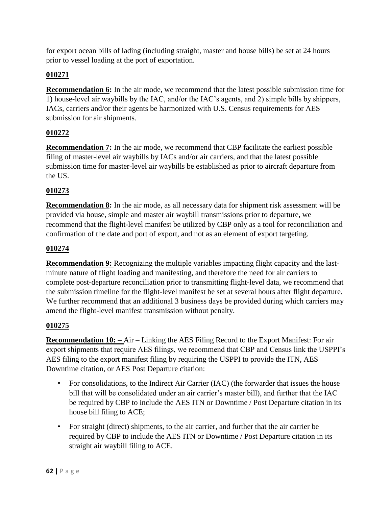for export ocean bills of lading (including straight, master and house bills) be set at 24 hours prior to vessel loading at the port of exportation.

# **010271**

**Recommendation 6:** In the air mode, we recommend that the latest possible submission time for 1) house-level air waybills by the IAC, and/or the IAC's agents, and 2) simple bills by shippers, IACs, carriers and/or their agents be harmonized with U.S. Census requirements for AES submission for air shipments.

# **010272**

**Recommendation 7:** In the air mode, we recommend that CBP facilitate the earliest possible filing of master-level air waybills by IACs and/or air carriers, and that the latest possible submission time for master-level air waybills be established as prior to aircraft departure from the US.

# **010273**

**Recommendation 8:** In the air mode, as all necessary data for shipment risk assessment will be provided via house, simple and master air waybill transmissions prior to departure, we recommend that the flight-level manifest be utilized by CBP only as a tool for reconciliation and confirmation of the date and port of export, and not as an element of export targeting.

# **010274**

**Recommendation 9:** Recognizing the multiple variables impacting flight capacity and the lastminute nature of flight loading and manifesting, and therefore the need for air carriers to complete post-departure reconciliation prior to transmitting flight-level data, we recommend that the submission timeline for the flight-level manifest be set at several hours after flight departure. We further recommend that an additional 3 business days be provided during which carriers may amend the flight-level manifest transmission without penalty.

# **010275**

**Recommendation 10: –** Air – Linking the AES Filing Record to the Export Manifest: For air export shipments that require AES filings, we recommend that CBP and Census link the USPPI's AES filing to the export manifest filing by requiring the USPPI to provide the ITN, AES Downtime citation, or AES Post Departure citation:

- For consolidations, to the Indirect Air Carrier (IAC) (the forwarder that issues the house bill that will be consolidated under an air carrier's master bill), and further that the IAC be required by CBP to include the AES ITN or Downtime / Post Departure citation in its house bill filing to ACE;
- For straight (direct) shipments, to the air carrier, and further that the air carrier be required by CBP to include the AES ITN or Downtime / Post Departure citation in its straight air waybill filing to ACE.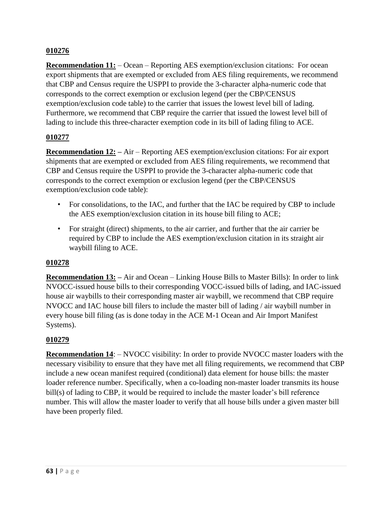**Recommendation 11:** – Ocean – Reporting AES exemption/exclusion citations: For ocean export shipments that are exempted or excluded from AES filing requirements, we recommend that CBP and Census require the USPPI to provide the 3-character alpha-numeric code that corresponds to the correct exemption or exclusion legend (per the CBP/CENSUS exemption/exclusion code table) to the carrier that issues the lowest level bill of lading. Furthermore, we recommend that CBP require the carrier that issued the lowest level bill of lading to include this three-character exemption code in its bill of lading filing to ACE.

### **010277**

**Recommendation 12: –** Air – Reporting AES exemption/exclusion citations: For air export shipments that are exempted or excluded from AES filing requirements, we recommend that CBP and Census require the USPPI to provide the 3-character alpha-numeric code that corresponds to the correct exemption or exclusion legend (per the CBP/CENSUS exemption/exclusion code table):

- For consolidations, to the IAC, and further that the IAC be required by CBP to include the AES exemption/exclusion citation in its house bill filing to ACE;
- For straight (direct) shipments, to the air carrier, and further that the air carrier be required by CBP to include the AES exemption/exclusion citation in its straight air waybill filing to ACE.

### **010278**

**Recommendation 13: –** Air and Ocean – Linking House Bills to Master Bills): In order to link NVOCC-issued house bills to their corresponding VOCC-issued bills of lading, and IAC-issued house air waybills to their corresponding master air waybill, we recommend that CBP require NVOCC and IAC house bill filers to include the master bill of lading / air waybill number in every house bill filing (as is done today in the ACE M-1 Ocean and Air Import Manifest Systems).

### **010279**

**Recommendation 14:** – NVOCC visibility: In order to provide NVOCC master loaders with the necessary visibility to ensure that they have met all filing requirements, we recommend that CBP include a new ocean manifest required (conditional) data element for house bills: the master loader reference number. Specifically, when a co-loading non-master loader transmits its house bill(s) of lading to CBP, it would be required to include the master loader's bill reference number. This will allow the master loader to verify that all house bills under a given master bill have been properly filed.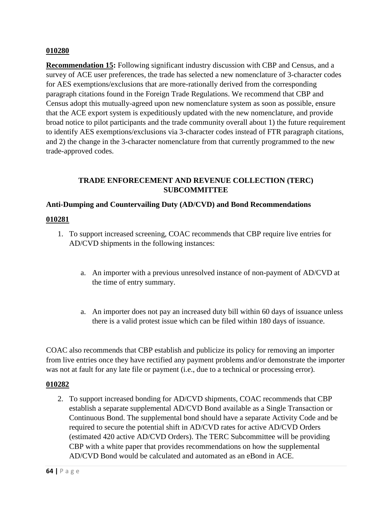**Recommendation 15:** Following significant industry discussion with CBP and Census, and a survey of ACE user preferences, the trade has selected a new nomenclature of 3-character codes for AES exemptions/exclusions that are more-rationally derived from the corresponding paragraph citations found in the Foreign Trade Regulations. We recommend that CBP and Census adopt this mutually-agreed upon new nomenclature system as soon as possible, ensure that the ACE export system is expeditiously updated with the new nomenclature, and provide broad notice to pilot participants and the trade community overall about 1) the future requirement to identify AES exemptions/exclusions via 3-character codes instead of FTR paragraph citations, and 2) the change in the 3-character nomenclature from that currently programmed to the new trade-approved codes.

### **TRADE ENFORECEMENT AND REVENUE COLLECTION (TERC) SUBCOMMITTEE**

### **Anti-Dumping and Countervailing Duty (AD/CVD) and Bond Recommendations**

### **010281**

- 1. To support increased screening, COAC recommends that CBP require live entries for AD/CVD shipments in the following instances:
	- a. An importer with a previous unresolved instance of non-payment of AD/CVD at the time of entry summary.
	- a. An importer does not pay an increased duty bill within 60 days of issuance unless there is a valid protest issue which can be filed within 180 days of issuance.

COAC also recommends that CBP establish and publicize its policy for removing an importer from live entries once they have rectified any payment problems and/or demonstrate the importer was not at fault for any late file or payment (i.e., due to a technical or processing error).

### **010282**

2. To support increased bonding for AD/CVD shipments, COAC recommends that CBP establish a separate supplemental AD/CVD Bond available as a Single Transaction or Continuous Bond. The supplemental bond should have a separate Activity Code and be required to secure the potential shift in AD/CVD rates for active AD/CVD Orders (estimated 420 active AD/CVD Orders). The TERC Subcommittee will be providing CBP with a white paper that provides recommendations on how the supplemental AD/CVD Bond would be calculated and automated as an eBond in ACE.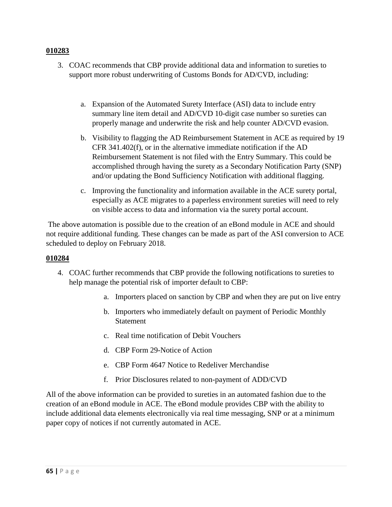- 3. COAC recommends that CBP provide additional data and information to sureties to support more robust underwriting of Customs Bonds for AD/CVD, including:
	- a. Expansion of the Automated Surety Interface (ASI) data to include entry summary line item detail and AD/CVD 10-digit case number so sureties can properly manage and underwrite the risk and help counter AD/CVD evasion.
	- b. Visibility to flagging the AD Reimbursement Statement in ACE as required by 19 CFR 341.402(f), or in the alternative immediate notification if the AD Reimbursement Statement is not filed with the Entry Summary. This could be accomplished through having the surety as a Secondary Notification Party (SNP) and/or updating the Bond Sufficiency Notification with additional flagging.
	- c. Improving the functionality and information available in the ACE surety portal, especially as ACE migrates to a paperless environment sureties will need to rely on visible access to data and information via the surety portal account.

The above automation is possible due to the creation of an eBond module in ACE and should not require additional funding. These changes can be made as part of the ASI conversion to ACE scheduled to deploy on February 2018.

### **010284**

- 4. COAC further recommends that CBP provide the following notifications to sureties to help manage the potential risk of importer default to CBP:
	- a. Importers placed on sanction by CBP and when they are put on live entry
	- b. Importers who immediately default on payment of Periodic Monthly Statement
	- c. Real time notification of Debit Vouchers
	- d. CBP Form 29-Notice of Action
	- e. CBP Form 4647 Notice to Redeliver Merchandise
	- f. Prior Disclosures related to non-payment of ADD/CVD

All of the above information can be provided to sureties in an automated fashion due to the creation of an eBond module in ACE. The eBond module provides CBP with the ability to include additional data elements electronically via real time messaging, SNP or at a minimum paper copy of notices if not currently automated in ACE.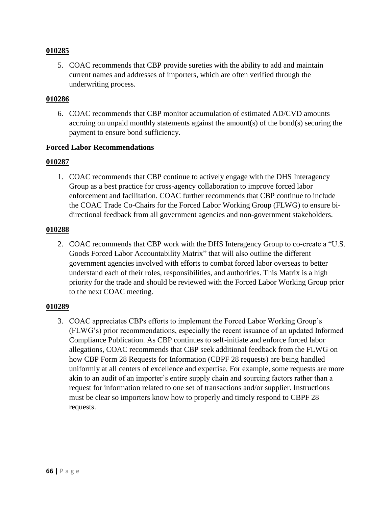5. COAC recommends that CBP provide sureties with the ability to add and maintain current names and addresses of importers, which are often verified through the underwriting process.

### **010286**

6. COAC recommends that CBP monitor accumulation of estimated AD/CVD amounts accruing on unpaid monthly statements against the amount(s) of the bond(s) securing the payment to ensure bond sufficiency.

### **Forced Labor Recommendations**

#### **010287**

1. COAC recommends that CBP continue to actively engage with the DHS Interagency Group as a best practice for cross-agency collaboration to improve forced labor enforcement and facilitation. COAC further recommends that CBP continue to include the COAC Trade Co-Chairs for the Forced Labor Working Group (FLWG) to ensure bidirectional feedback from all government agencies and non-government stakeholders.

#### **010288**

2. COAC recommends that CBP work with the DHS Interagency Group to co-create a "U.S. Goods Forced Labor Accountability Matrix" that will also outline the different government agencies involved with efforts to combat forced labor overseas to better understand each of their roles, responsibilities, and authorities. This Matrix is a high priority for the trade and should be reviewed with the Forced Labor Working Group prior to the next COAC meeting.

#### **010289**

3. COAC appreciates CBPs efforts to implement the Forced Labor Working Group's (FLWG's) prior recommendations, especially the recent issuance of an updated Informed Compliance Publication. As CBP continues to self-initiate and enforce forced labor allegations, COAC recommends that CBP seek additional feedback from the FLWG on how CBP Form 28 Requests for Information (CBPF 28 requests) are being handled uniformly at all centers of excellence and expertise. For example, some requests are more akin to an audit of an importer's entire supply chain and sourcing factors rather than a request for information related to one set of transactions and/or supplier. Instructions must be clear so importers know how to properly and timely respond to CBPF 28 requests.